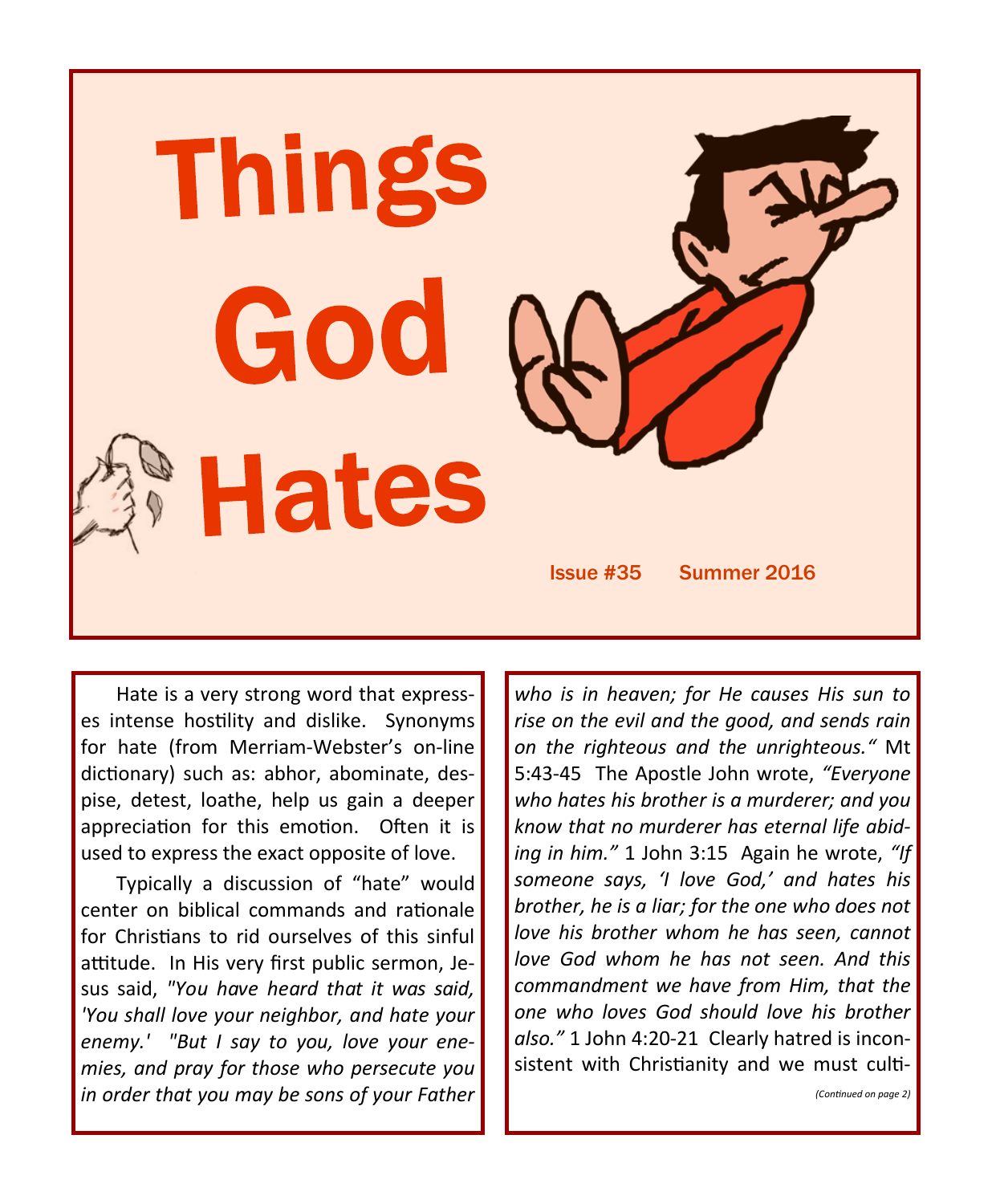

Hate is a very strong word that expresses intense hostility and dislike. Synonyms for hate (from Merriam-Webster's on-line dictionary) such as: abhor, abominate, despise, detest, loathe, help us gain a deeper appreciation for this emotion. Often it is used to express the exact opposite of love.

Typically a discussion of "hate" would center on biblical commands and rationale for Christians to rid ourselves of this sinful attitude. In His very first public sermon, Jesus said, *"You have heard that it was said, 'You shall love your neighbor, and hate your enemy.' "But I say to you, love your enemies, and pray for those who persecute you in order that you may be sons of your Father* 

*who is in heaven; for He causes His sun to rise on the evil and the good, and sends rain on the righteous and the unrighteous."* Mt 5:43-45 The Apostle John wrote, *"Everyone who hates his brother is a murderer; and you know that no murderer has eternal life abiding in him."* 1 John 3:15 Again he wrote, *"If someone says, 'I love God,' and hates his brother, he is a liar; for the one who does not love his brother whom he has seen, cannot love God whom he has not seen. And this commandment we have from Him, that the one who loves God should love his brother also."* 1 John 4:20-21 Clearly hatred is inconsistent with Christianity and we must culti-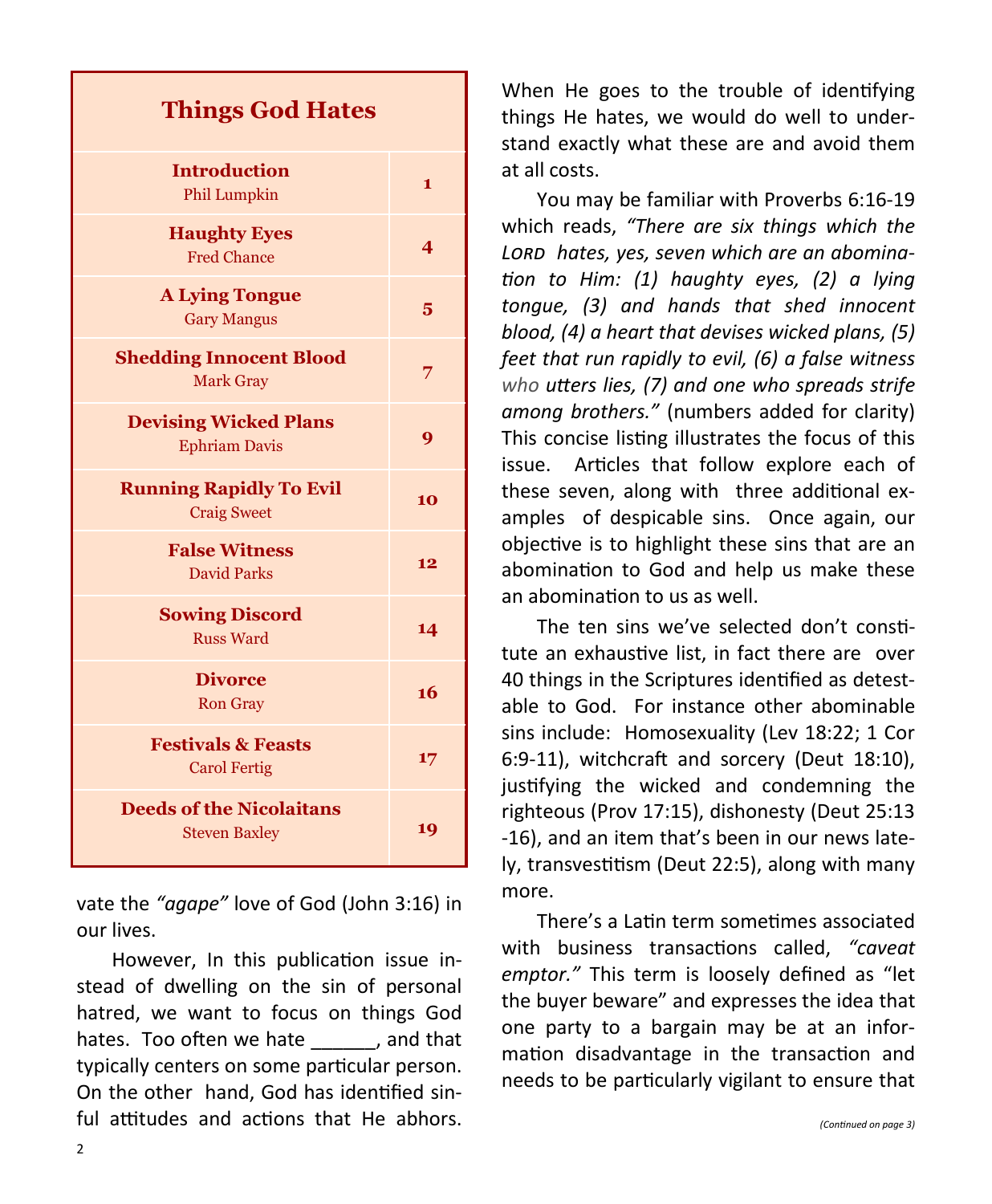| <b>Things God Hates</b>                                 |                         |
|---------------------------------------------------------|-------------------------|
| <b>Introduction</b><br>Phil Lumpkin                     | $\mathbf{1}$            |
| <b>Haughty Eyes</b><br><b>Fred Chance</b>               | $\overline{\mathbf{4}}$ |
| <b>A Lying Tongue</b><br><b>Gary Mangus</b>             | 5                       |
| <b>Shedding Innocent Blood</b><br><b>Mark Gray</b>      | 7                       |
| <b>Devising Wicked Plans</b><br><b>Ephriam Davis</b>    | 9                       |
| <b>Running Rapidly To Evil</b><br><b>Craig Sweet</b>    | 10                      |
| <b>False Witness</b><br><b>David Parks</b>              | 12                      |
| <b>Sowing Discord</b><br><b>Russ Ward</b>               | 14                      |
| <b>Divorce</b><br><b>Ron Gray</b>                       | 16                      |
| <b>Festivals &amp; Feasts</b><br><b>Carol Fertig</b>    | 17                      |
| <b>Deeds of the Nicolaitans</b><br><b>Steven Baxley</b> | 19                      |

vate the *"agape"* love of God (John 3:16) in our lives.

However, In this publication issue instead of dwelling on the sin of personal hatred, we want to focus on things God hates. Too often we hate all cand that typically centers on some particular person. On the other hand, God has identified sinful attitudes and actions that He abhors.

When He goes to the trouble of identifying things He hates, we would do well to understand exactly what these are and avoid them at all costs.

You may be familiar with Proverbs 6:16-19 which reads, *"There are six things which the Lord hates, yes, seven which are an abomination to Him: (1) haughty eyes, (2) a lying tongue, (3) and hands that shed innocent blood, (4) a heart that devises wicked plans, (5) feet that run rapidly to evil, (6) a false witness who utters lies, (7) and one who spreads strife among brothers."* (numbers added for clarity) This concise listing illustrates the focus of this issue. Articles that follow explore each of these seven, along with three additional examples of despicable sins. Once again, our objective is to highlight these sins that are an abomination to God and help us make these an abomination to us as well.

The ten sins we've selected don't constitute an exhaustive list, in fact there are over 40 things in the Scriptures identified as detestable to God. For instance other abominable sins include: Homosexuality (Lev 18:22; 1 Cor 6:9-11), witchcraft and sorcery (Deut 18:10), justifying the wicked and condemning the righteous (Prov 17:15), dishonesty (Deut 25:13 -16), and an item that's been in our news lately, transvestitism (Deut 22:5), along with many more.

There's a Latin term sometimes associated with business transactions called, *"caveat emptor."* This term is loosely defined as "let the buyer beware" and expresses the idea that one party to a bargain may be at an information disadvantage in the transaction and needs to be particularly vigilant to ensure that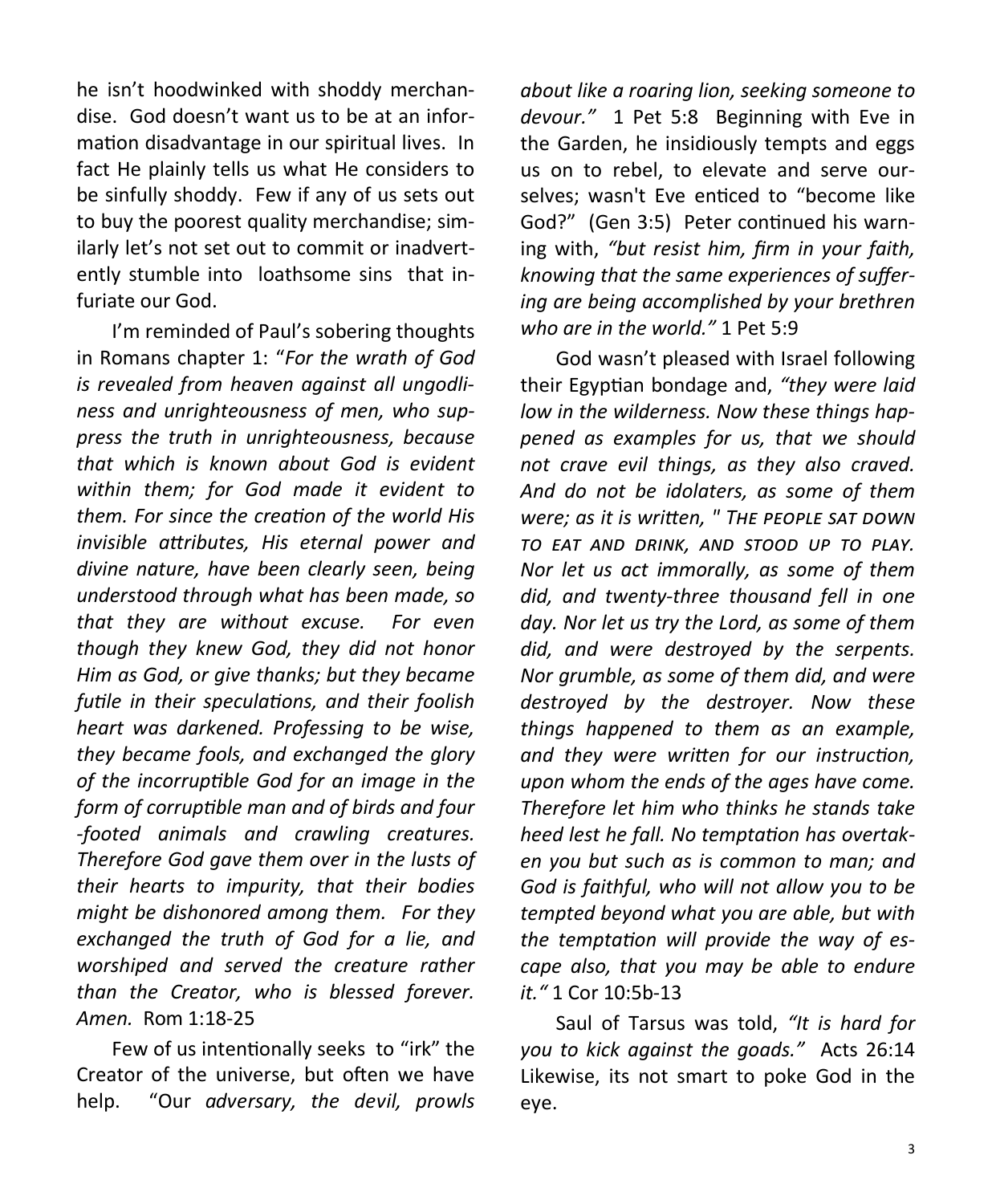he isn't hoodwinked with shoddy merchandise. God doesn't want us to be at an information disadvantage in our spiritual lives. In fact He plainly tells us what He considers to be sinfully shoddy. Few if any of us sets out to buy the poorest quality merchandise; similarly let's not set out to commit or inadvertently stumble into loathsome sins that infuriate our God.

I'm reminded of Paul's sobering thoughts in Romans chapter 1: "*For the wrath of God is revealed from heaven against all ungodliness and unrighteousness of men, who suppress the truth in unrighteousness, because that which is known about God is evident within them; for God made it evident to them. For since the creation of the world His invisible attributes, His eternal power and divine nature, have been clearly seen, being understood through what has been made, so that they are without excuse. For even though they knew God, they did not honor Him as God, or give thanks; but they became futile in their speculations, and their foolish heart was darkened. Professing to be wise, they became fools, and exchanged the glory of the incorruptible God for an image in the form of corruptible man and of birds and four -footed animals and crawling creatures. Therefore God gave them over in the lusts of their hearts to impurity, that their bodies might be dishonored among them. For they exchanged the truth of God for a lie, and worshiped and served the creature rather than the Creator, who is blessed forever. Amen.* Rom 1:18-25

Few of us intentionally seeks to "irk" the Creator of the universe, but often we have help. "Our *adversary, the devil, prowls* 

*about like a roaring lion, seeking someone to devour."* 1 Pet 5:8 Beginning with Eve in the Garden, he insidiously tempts and eggs us on to rebel, to elevate and serve ourselves; wasn't Eve enticed to "become like God?" (Gen 3:5) Peter continued his warning with, *"but resist him, firm in your faith, knowing that the same experiences of suffering are being accomplished by your brethren who are in the world."* 1 Pet 5:9

God wasn't pleased with Israel following their Egyptian bondage and, *"they were laid low in the wilderness. Now these things happened as examples for us, that we should not crave evil things, as they also craved. And do not be idolaters, as some of them were; as it is written, " The people sat down to eat and drink, and stood up to play. Nor let us act immorally, as some of them did, and twenty-three thousand fell in one day. Nor let us try the Lord, as some of them did, and were destroyed by the serpents. Nor grumble, as some of them did, and were destroyed by the destroyer. Now these things happened to them as an example, and they were written for our instruction, upon whom the ends of the ages have come. Therefore let him who thinks he stands take heed lest he fall. No temptation has overtaken you but such as is common to man; and God is faithful, who will not allow you to be tempted beyond what you are able, but with the temptation will provide the way of escape also, that you may be able to endure it."* 1 Cor 10:5b-13

Saul of Tarsus was told, *"It is hard for you to kick against the goads."* Acts 26:14 Likewise, its not smart to poke God in the eye.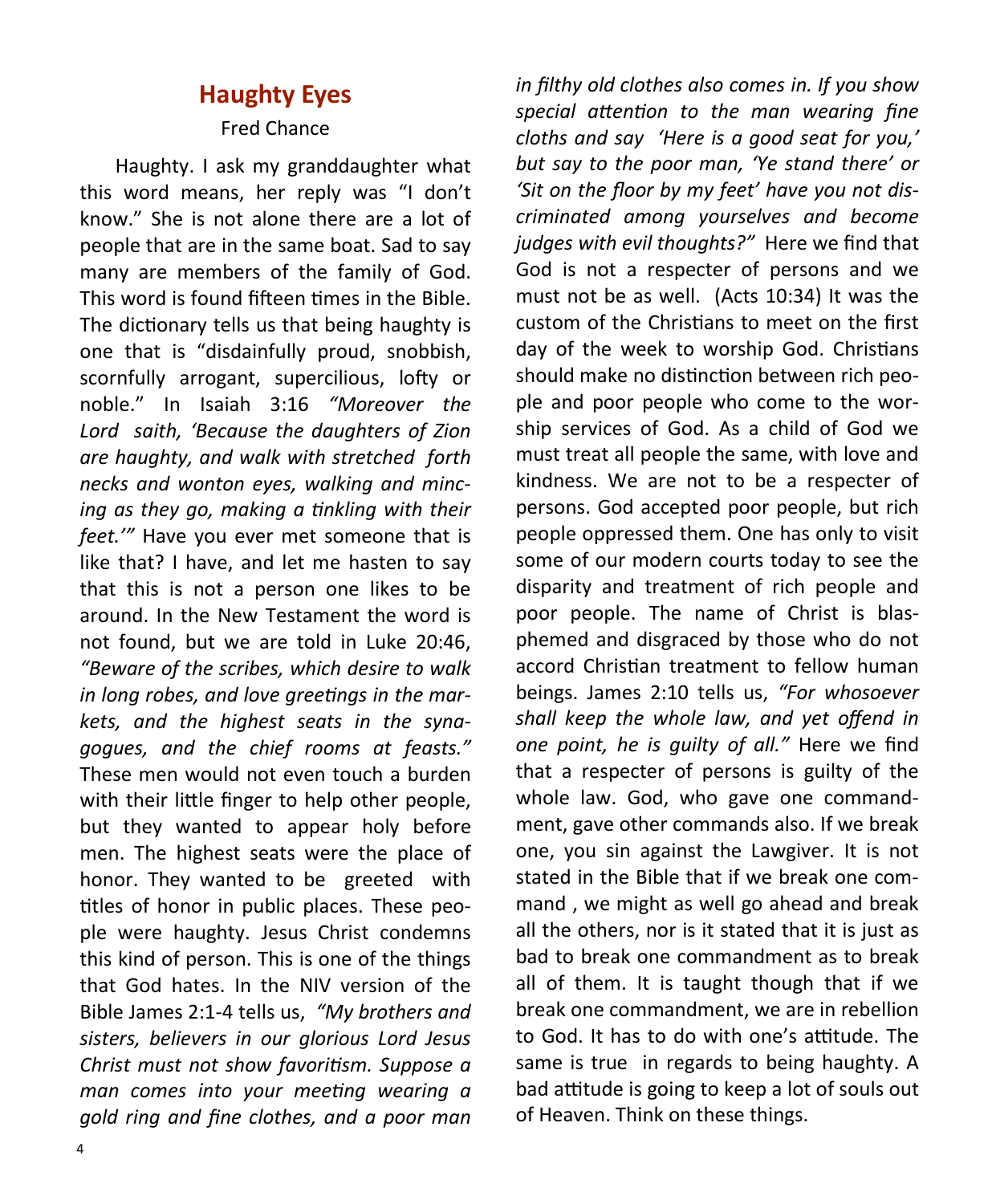## **Haughty Eyes**

#### Fred Chance

Haughty. I ask my granddaughter what this word means, her reply was "I don't know." She is not alone there are a lot of people that are in the same boat. Sad to say many are members of the family of God. This word is found fifteen times in the Bible. The dictionary tells us that being haughty is one that is "disdainfully proud, snobbish, scornfully arrogant, supercilious, lofty or noble." In Isaiah 3:16 *"Moreover the Lord saith, 'Because the daughters of Zion are haughty, and walk with stretched forth necks and wonton eyes, walking and mincing as they go, making a tinkling with their feet.'"* Have you ever met someone that is like that? I have, and let me hasten to say that this is not a person one likes to be around. In the New Testament the word is not found, but we are told in Luke 20:46, *"Beware of the scribes, which desire to walk in long robes, and love greetings in the markets, and the highest seats in the synagogues, and the chief rooms at feasts."*  These men would not even touch a burden with their little finger to help other people, but they wanted to appear holy before men. The highest seats were the place of honor. They wanted to be greeted with titles of honor in public places. These people were haughty. Jesus Christ condemns this kind of person. This is one of the things that God hates. In the NIV version of the Bible James 2:1-4 tells us, *"My brothers and sisters, believers in our glorious Lord Jesus Christ must not show favoritism. Suppose a man comes into your meeting wearing a gold ring and fine clothes, and a poor man* 

*in filthy old clothes also comes in. If you show special attention to the man wearing fine cloths and say 'Here is a good seat for you,' but say to the poor man, 'Ye stand there' or 'Sit on the floor by my feet' have you not discriminated among yourselves and become judges with evil thoughts?"* Here we find that God is not a respecter of persons and we must not be as well. (Acts 10:34) It was the custom of the Christians to meet on the first day of the week to worship God. Christians should make no distinction between rich people and poor people who come to the worship services of God. As a child of God we must treat all people the same, with love and kindness. We are not to be a respecter of persons. God accepted poor people, but rich people oppressed them. One has only to visit some of our modern courts today to see the disparity and treatment of rich people and poor people. The name of Christ is blasphemed and disgraced by those who do not accord Christian treatment to fellow human beings. James 2:10 tells us, *"For whosoever shall keep the whole law, and yet offend in one point, he is guilty of all."* Here we find that a respecter of persons is guilty of the whole law. God, who gave one commandment, gave other commands also. If we break one, you sin against the Lawgiver. It is not stated in the Bible that if we break one command , we might as well go ahead and break all the others, nor is it stated that it is just as bad to break one commandment as to break all of them. It is taught though that if we break one commandment, we are in rebellion to God. It has to do with one's attitude. The same is true in regards to being haughty. A bad attitude is going to keep a lot of souls out of Heaven. Think on these things.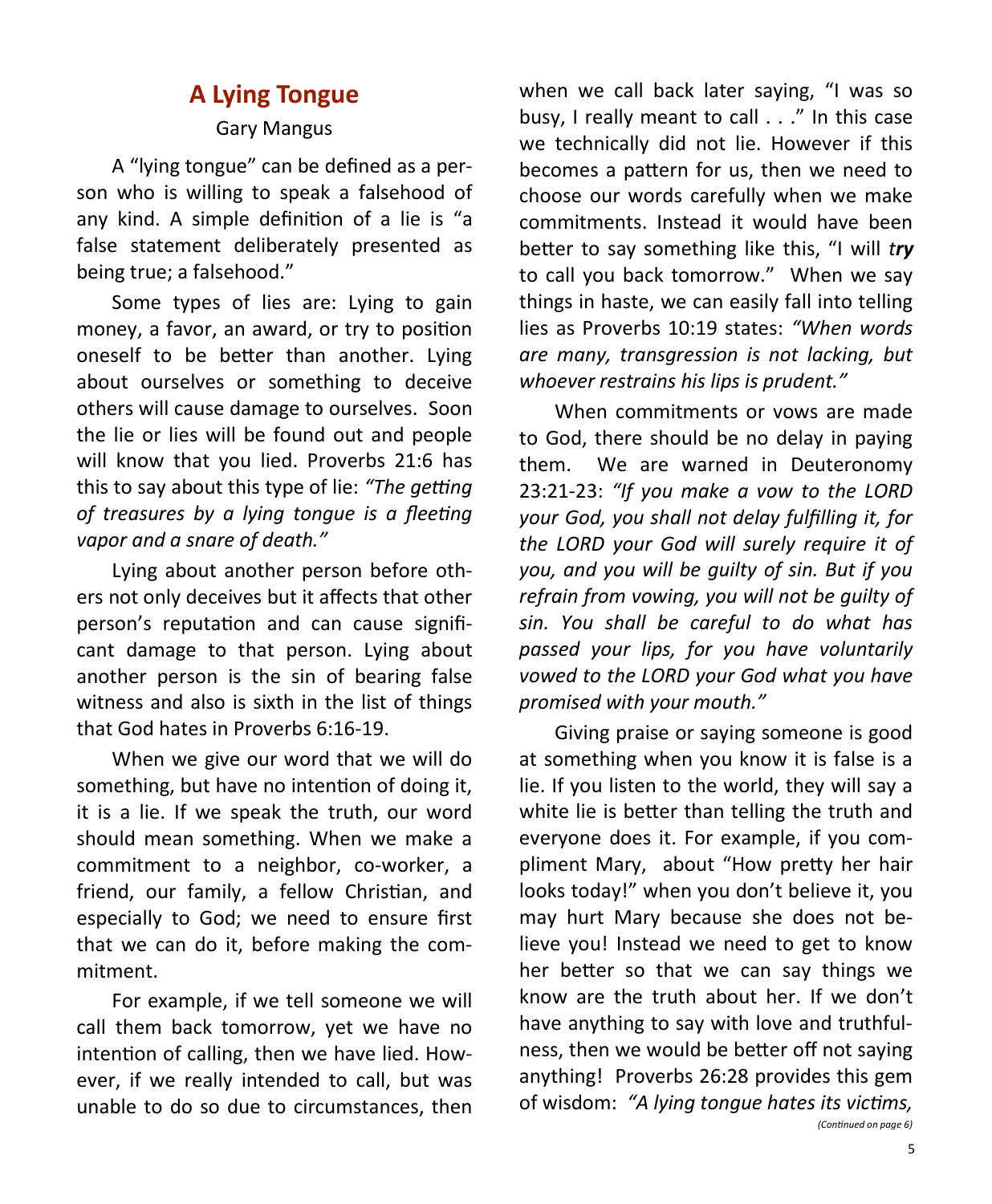# **A Lying Tongue**

### Gary Mangus

A "lying tongue" can be defined as a person who is willing to speak a falsehood of any kind. A simple definition of a lie is "a false statement deliberately presented as being true; a falsehood."

Some types of lies are: Lying to gain money, a favor, an award, or try to position oneself to be better than another. Lying about ourselves or something to deceive others will cause damage to ourselves. Soon the lie or lies will be found out and people will know that you lied. Proverbs 21:6 has this to say about this type of lie: *"The getting of treasures by a lying tongue is a fleeting vapor and a snare of death."*

Lying about another person before others not only deceives but it affects that other person's reputation and can cause significant damage to that person. Lying about another person is the sin of bearing false witness and also is sixth in the list of things that God hates in Proverbs 6:16-19.

When we give our word that we will do something, but have no intention of doing it, it is a lie. If we speak the truth, our word should mean something. When we make a commitment to a neighbor, co-worker, a friend, our family, a fellow Christian, and especially to God; we need to ensure first that we can do it, before making the commitment.

For example, if we tell someone we will call them back tomorrow, yet we have no intention of calling, then we have lied. However, if we really intended to call, but was unable to do so due to circumstances, then when we call back later saying, "I was so busy, I really meant to call . . ." In this case we technically did not lie. However if this becomes a pattern for us, then we need to choose our words carefully when we make commitments. Instead it would have been better to say something like this, "I will *try* to call you back tomorrow." When we say things in haste, we can easily fall into telling lies as Proverbs 10:19 states: *"When words are many, transgression is not lacking, but whoever restrains his lips is prudent."* 

When commitments or vows are made to God, there should be no delay in paying them. We are warned in Deuteronomy 23:21-23: *"If you make a vow to the LORD your God, you shall not delay fulfilling it, for the LORD your God will surely require it of you, and you will be guilty of sin. But if you refrain from vowing, you will not be guilty of sin. You shall be careful to do what has passed your lips, for you have voluntarily vowed to the LORD your God what you have promised with your mouth."*

Giving praise or saying someone is good at something when you know it is false is a lie. If you listen to the world, they will say a white lie is better than telling the truth and everyone does it. For example, if you compliment Mary, about "How pretty her hair looks today!" when you don't believe it, you may hurt Mary because she does not believe you! Instead we need to get to know her better so that we can say things we know are the truth about her. If we don't have anything to say with love and truthfulness, then we would be better off not saying anything! Proverbs 26:28 provides this gem of wisdom: *"A lying tongue hates its victims, (Continued on page 6)*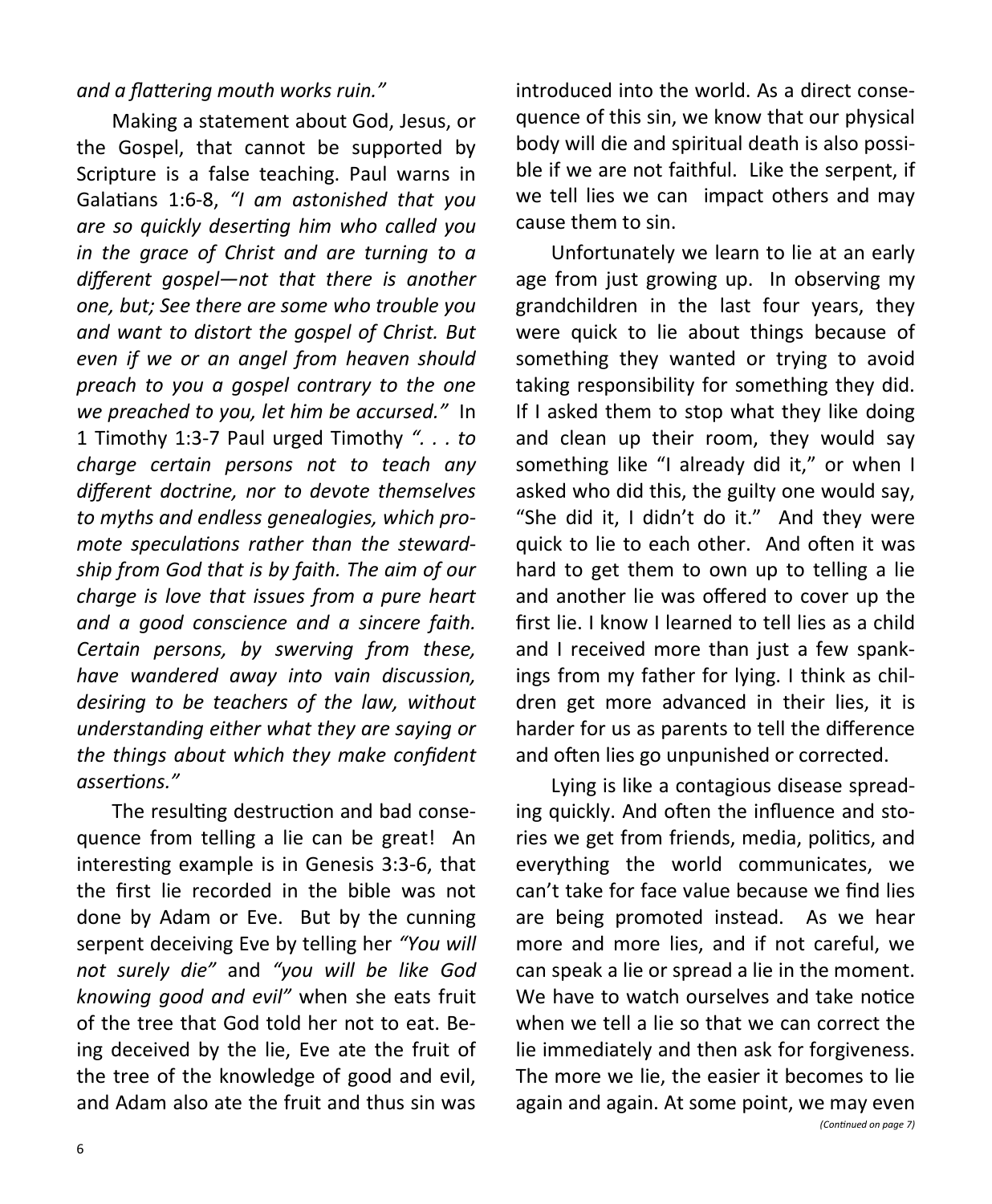#### *and a flattering mouth works ruin."*

Making a statement about God, Jesus, or the Gospel, that cannot be supported by Scripture is a false teaching. Paul warns in Galatians 1:6-8, *"I am astonished that you are so quickly deserting him who called you in the grace of Christ and are turning to a different gospel—not that there is another one, but; See there are some who trouble you and want to distort the gospel of Christ. But even if we or an angel from heaven should preach to you a gospel contrary to the one we preached to you, let him be accursed."* In 1 Timothy 1:3-7 Paul urged Timothy *". . . to charge certain persons not to teach any different doctrine, nor to devote themselves to myths and endless genealogies, which promote speculations rather than the stewardship from God that is by faith. The aim of our charge is love that issues from a pure heart and a good conscience and a sincere faith. Certain persons, by swerving from these, have wandered away into vain discussion, desiring to be teachers of the law, without understanding either what they are saying or the things about which they make confident assertions."*

The resulting destruction and bad consequence from telling a lie can be great! An interesting example is in Genesis 3:3-6, that the first lie recorded in the bible was not done by Adam or Eve. But by the cunning serpent deceiving Eve by telling her *"You will not surely die"* and *"you will be like God knowing good and evil"* when she eats fruit of the tree that God told her not to eat. Being deceived by the lie, Eve ate the fruit of the tree of the knowledge of good and evil, and Adam also ate the fruit and thus sin was introduced into the world. As a direct consequence of this sin, we know that our physical body will die and spiritual death is also possible if we are not faithful. Like the serpent, if we tell lies we can impact others and may cause them to sin.

Unfortunately we learn to lie at an early age from just growing up. In observing my grandchildren in the last four years, they were quick to lie about things because of something they wanted or trying to avoid taking responsibility for something they did. If I asked them to stop what they like doing and clean up their room, they would say something like "I already did it," or when I asked who did this, the guilty one would say, "She did it, I didn't do it." And they were quick to lie to each other. And often it was hard to get them to own up to telling a lie and another lie was offered to cover up the first lie. I know I learned to tell lies as a child and I received more than just a few spankings from my father for lying. I think as children get more advanced in their lies, it is harder for us as parents to tell the difference and often lies go unpunished or corrected.

Lying is like a contagious disease spreading quickly. And often the influence and stories we get from friends, media, politics, and everything the world communicates, we can't take for face value because we find lies are being promoted instead. As we hear more and more lies, and if not careful, we can speak a lie or spread a lie in the moment. We have to watch ourselves and take notice when we tell a lie so that we can correct the lie immediately and then ask for forgiveness. The more we lie, the easier it becomes to lie again and again. At some point, we may even *(Continued on page 7)*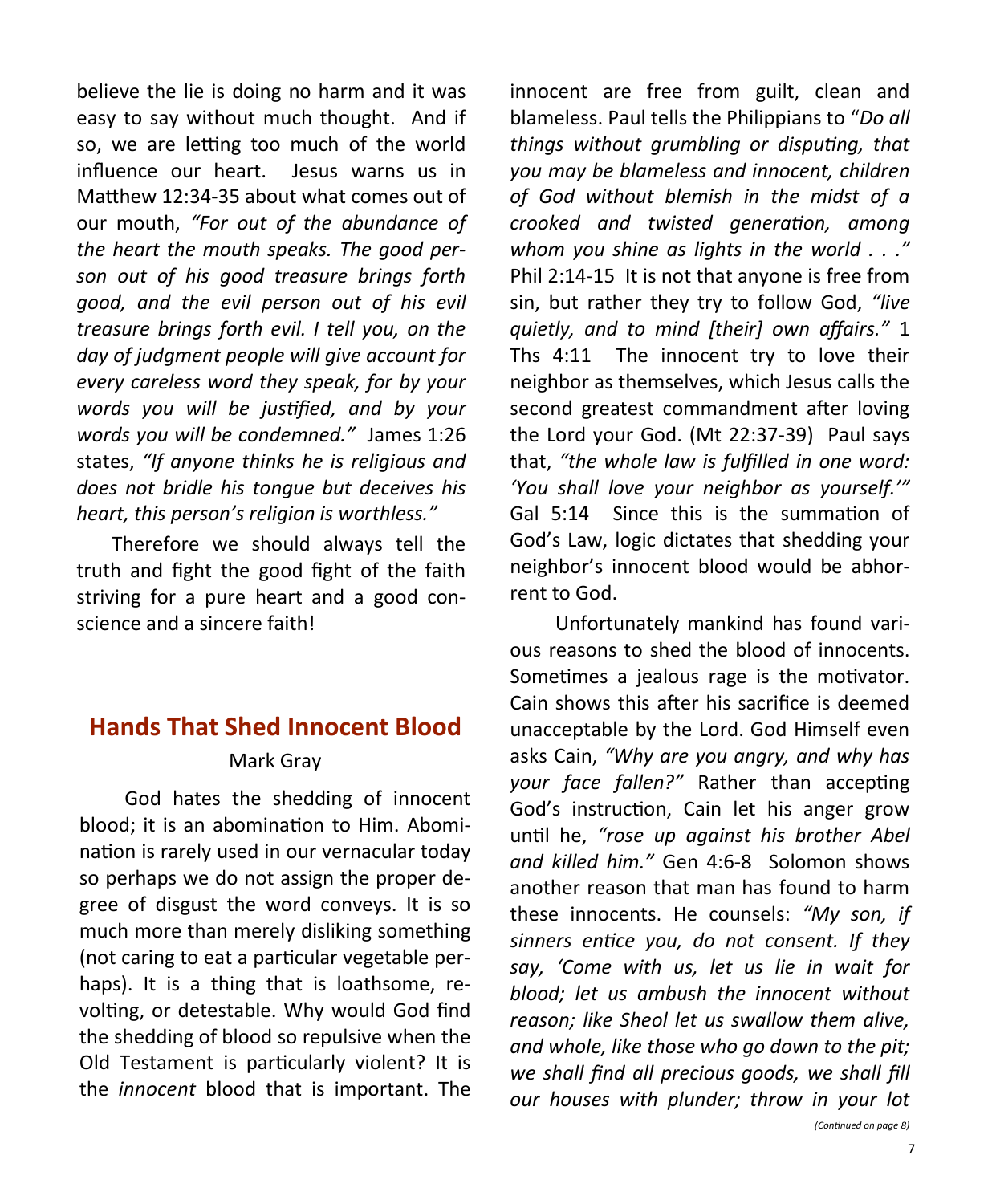believe the lie is doing no harm and it was easy to say without much thought. And if so, we are letting too much of the world influence our heart. Jesus warns us in Matthew 12:34-35 about what comes out of our mouth, *"For out of the abundance of the heart the mouth speaks. The good person out of his good treasure brings forth good, and the evil person out of his evil treasure brings forth evil. I tell you, on the day of judgment people will give account for every careless word they speak, for by your words you will be justified, and by your words you will be condemned."* James 1:26 states, *"If anyone thinks he is religious and does not bridle his tongue but deceives his heart, this person's religion is worthless."*

Therefore we should always tell the truth and fight the good fight of the faith striving for a pure heart and a good conscience and a sincere faith!

## **Hands That Shed Innocent Blood** Mark Gray

 God hates the shedding of innocent blood; it is an abomination to Him. Abomination is rarely used in our vernacular today so perhaps we do not assign the proper degree of disgust the word conveys. It is so much more than merely disliking something (not caring to eat a particular vegetable perhaps). It is a thing that is loathsome, revolting, or detestable. Why would God find the shedding of blood so repulsive when the Old Testament is particularly violent? It is the *innocent* blood that is important. The innocent are free from guilt, clean and blameless. Paul tells the Philippians to "*Do all things without grumbling or disputing, that you may be blameless and innocent, children of God without blemish in the midst of a crooked and twisted generation, among whom you shine as lights in the world . . ."* Phil 2:14-15 It is not that anyone is free from sin, but rather they try to follow God, *"live quietly, and to mind [their] own affairs."* 1 Ths 4:11 The innocent try to love their neighbor as themselves, which Jesus calls the second greatest commandment after loving the Lord your God. (Mt 22:37-39) Paul says that, *"the whole law is fulfilled in one word: 'You shall love your neighbor as yourself.'"*  Gal 5:14 Since this is the summation of God's Law, logic dictates that shedding your neighbor's innocent blood would be abhorrent to God.

 Unfortunately mankind has found various reasons to shed the blood of innocents. Sometimes a jealous rage is the motivator. Cain shows this after his sacrifice is deemed unacceptable by the Lord. God Himself even asks Cain, *"Why are you angry, and why has your face fallen?"* Rather than accepting God's instruction, Cain let his anger grow until he, *"rose up against his brother Abel and killed him."* Gen 4:6-8 Solomon shows another reason that man has found to harm these innocents. He counsels: *"My son, if sinners entice you, do not consent. If they say, 'Come with us, let us lie in wait for blood; let us ambush the innocent without reason; like Sheol let us swallow them alive, and whole, like those who go down to the pit; we shall find all precious goods, we shall fill our houses with plunder; throw in your lot (Continued on page 8)*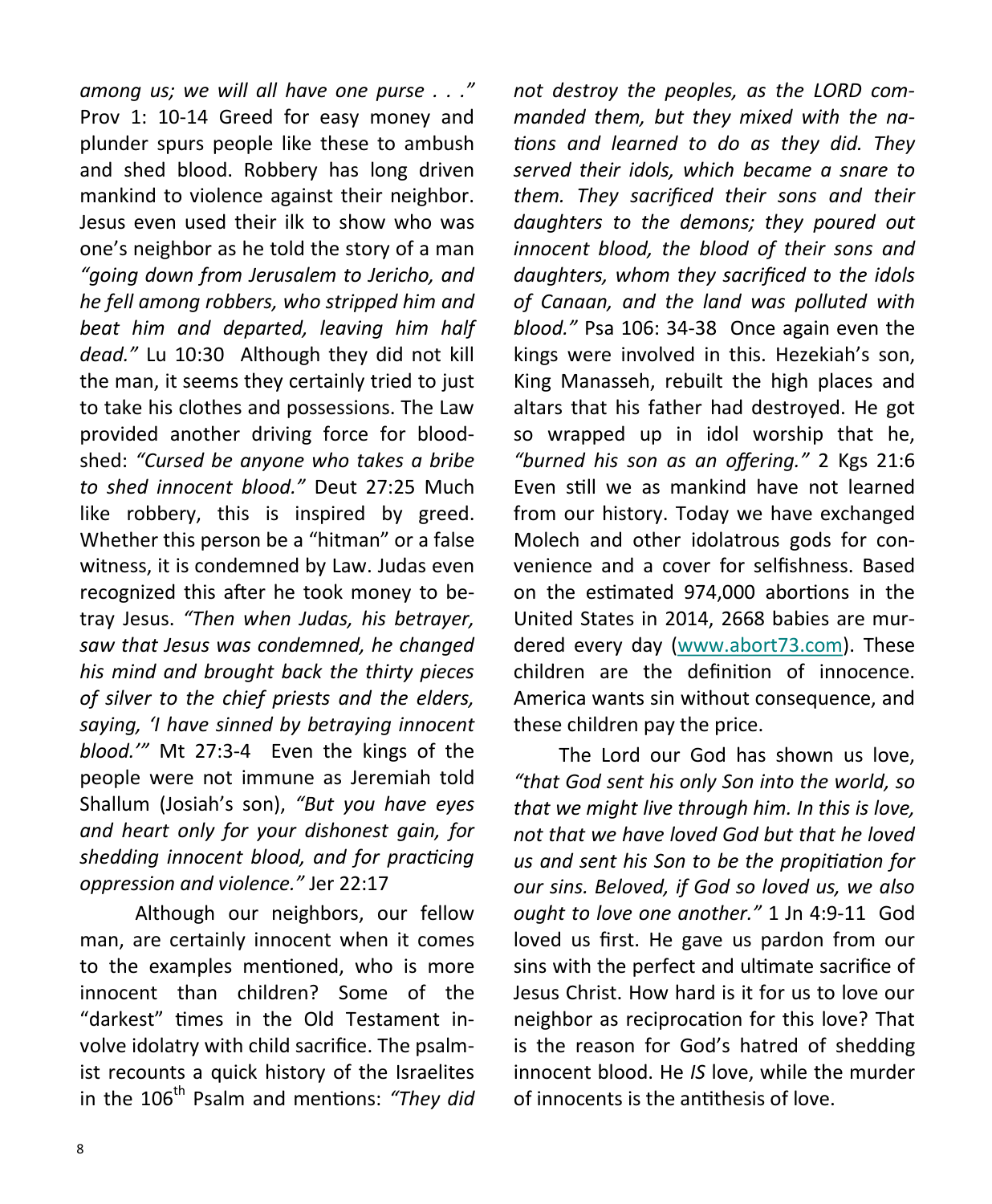*among us; we will all have one purse . . ."* Prov 1: 10-14 Greed for easy money and plunder spurs people like these to ambush and shed blood. Robbery has long driven mankind to violence against their neighbor. Jesus even used their ilk to show who was one's neighbor as he told the story of a man *"going down from Jerusalem to Jericho, and he fell among robbers, who stripped him and beat him and departed, leaving him half dead."* Lu 10:30 Although they did not kill the man, it seems they certainly tried to just to take his clothes and possessions. The Law provided another driving force for bloodshed: *"Cursed be anyone who takes a bribe to shed innocent blood."* Deut 27:25 Much like robbery, this is inspired by greed. Whether this person be a "hitman" or a false witness, it is condemned by Law. Judas even recognized this after he took money to betray Jesus. *"Then when Judas, his betrayer, saw that Jesus was condemned, he changed his mind and brought back the thirty pieces of silver to the chief priests and the elders, saying, 'I have sinned by betraying innocent blood.'"* Mt 27:3-4 Even the kings of the people were not immune as Jeremiah told Shallum (Josiah's son), *"But you have eyes and heart only for your dishonest gain, for shedding innocent blood, and for practicing oppression and violence."* Jer 22:17

 Although our neighbors, our fellow man, are certainly innocent when it comes to the examples mentioned, who is more innocent than children? Some of the "darkest" times in the Old Testament involve idolatry with child sacrifice. The psalmist recounts a quick history of the Israelites in the 106<sup>th</sup> Psalm and mentions: "They did *not destroy the peoples, as the LORD commanded them, but they mixed with the nations and learned to do as they did. They served their idols, which became a snare to them. They sacrificed their sons and their daughters to the demons; they poured out innocent blood, the blood of their sons and daughters, whom they sacrificed to the idols of Canaan, and the land was polluted with blood."* Psa 106: 34-38 Once again even the kings were involved in this. Hezekiah's son, King Manasseh, rebuilt the high places and altars that his father had destroyed. He got so wrapped up in idol worship that he, *"burned his son as an offering."* 2 Kgs 21:6 Even still we as mankind have not learned from our history. Today we have exchanged Molech and other idolatrous gods for convenience and a cover for selfishness. Based on the estimated 974,000 abortions in the United States in 2014, 2668 babies are murdered every day [\(www.abort73.com\).](http://www.abort73.com) These children are the definition of innocence. America wants sin without consequence, and these children pay the price.

 The Lord our God has shown us love, *"that God sent his only Son into the world, so that we might live through him. In this is love, not that we have loved God but that he loved us and sent his Son to be the propitiation for our sins. Beloved, if God so loved us, we also ought to love one another."* 1 Jn 4:9-11 God loved us first. He gave us pardon from our sins with the perfect and ultimate sacrifice of Jesus Christ. How hard is it for us to love our neighbor as reciprocation for this love? That is the reason for God's hatred of shedding innocent blood. He *IS* love, while the murder of innocents is the antithesis of love.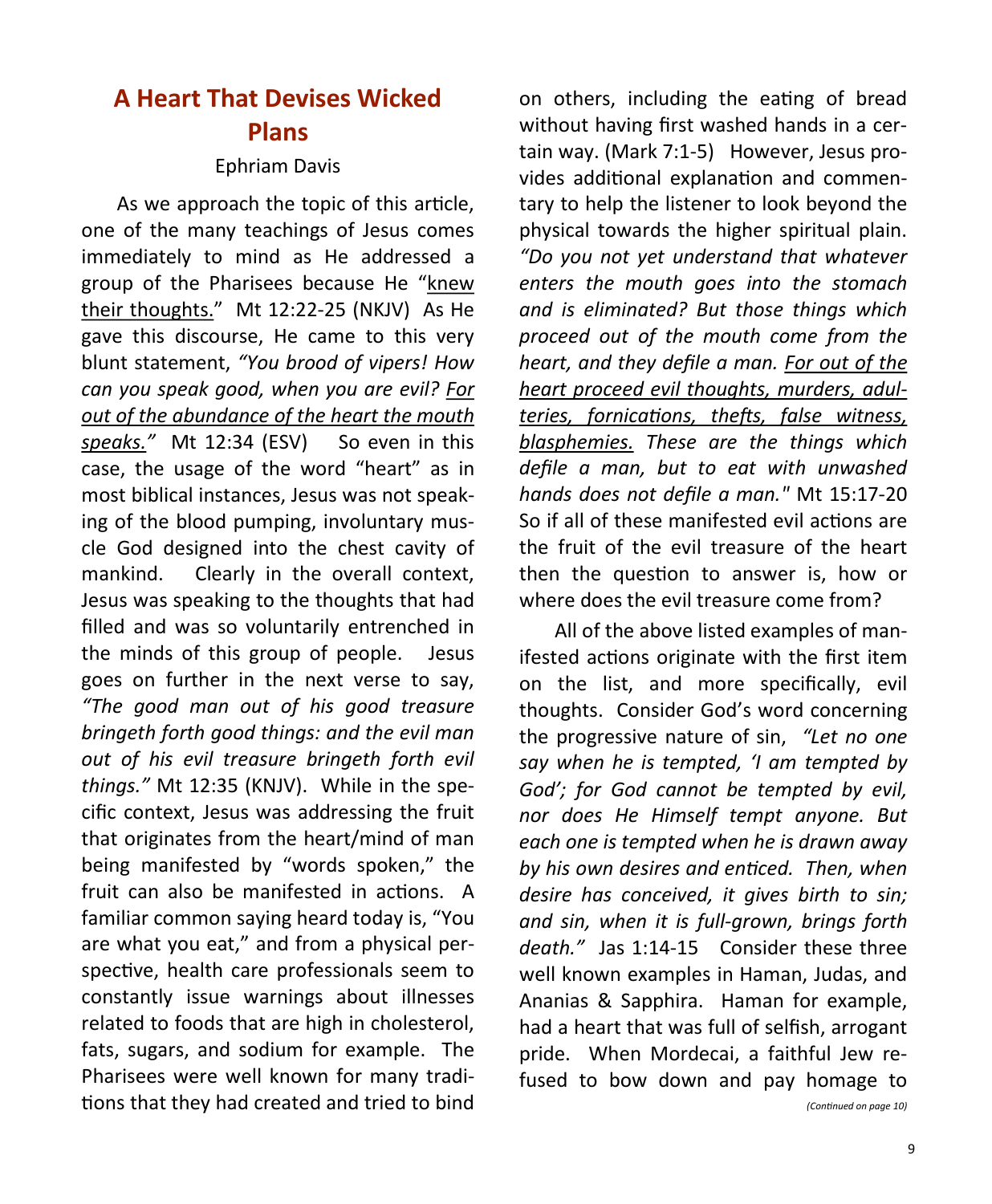# **A Heart That Devises Wicked Plans**

#### Ephriam Davis

As we approach the topic of this article, one of the many teachings of Jesus comes immediately to mind as He addressed a group of the Pharisees because He "knew their thoughts." Mt 12:22-25 (NKJV) As He gave this discourse, He came to this very blunt statement, *"You brood of vipers! How can you speak good, when you are evil? For out of the abundance of the heart the mouth*  speaks." Mt 12:34 (ESV) So even in this case, the usage of the word "heart" as in most biblical instances, Jesus was not speaking of the blood pumping, involuntary muscle God designed into the chest cavity of mankind. Clearly in the overall context, Jesus was speaking to the thoughts that had filled and was so voluntarily entrenched in the minds of this group of people. Jesus goes on further in the next verse to say, *"The good man out of his good treasure bringeth forth good things: and the evil man out of his evil treasure bringeth forth evil things."* Mt 12:35 (KNJV). While in the specific context, Jesus was addressing the fruit that originates from the heart/mind of man being manifested by "words spoken," the fruit can also be manifested in actions. A familiar common saying heard today is, "You are what you eat," and from a physical perspective, health care professionals seem to constantly issue warnings about illnesses related to foods that are high in cholesterol, fats, sugars, and sodium for example. The Pharisees were well known for many traditions that they had created and tried to bind on others, including the eating of bread without having first washed hands in a certain way. (Mark 7:1-5) However, Jesus provides additional explanation and commentary to help the listener to look beyond the physical towards the higher spiritual plain. *"Do you not yet understand that whatever enters the mouth goes into the stomach and is eliminated? But those things which proceed out of the mouth come from the heart, and they defile a man. For out of the heart proceed evil thoughts, murders, adulteries, fornications, thefts, false witness, blasphemies. These are the things which defile a man, but to eat with unwashed hands does not defile a man."* Mt 15:17-20 So if all of these manifested evil actions are the fruit of the evil treasure of the heart then the question to answer is, how or where does the evil treasure come from?

All of the above listed examples of manifested actions originate with the first item on the list, and more specifically, evil thoughts. Consider God's word concerning the progressive nature of sin, *"Let no one say when he is tempted, 'I am tempted by God'; for God cannot be tempted by evil, nor does He Himself tempt anyone. But each one is tempted when he is drawn away by his own desires and enticed. Then, when desire has conceived, it gives birth to sin; and sin, when it is full-grown, brings forth death."* Jas 1:14-15 Consider these three well known examples in Haman, Judas, and Ananias & Sapphira. Haman for example, had a heart that was full of selfish, arrogant pride. When Mordecai, a faithful Jew refused to bow down and pay homage to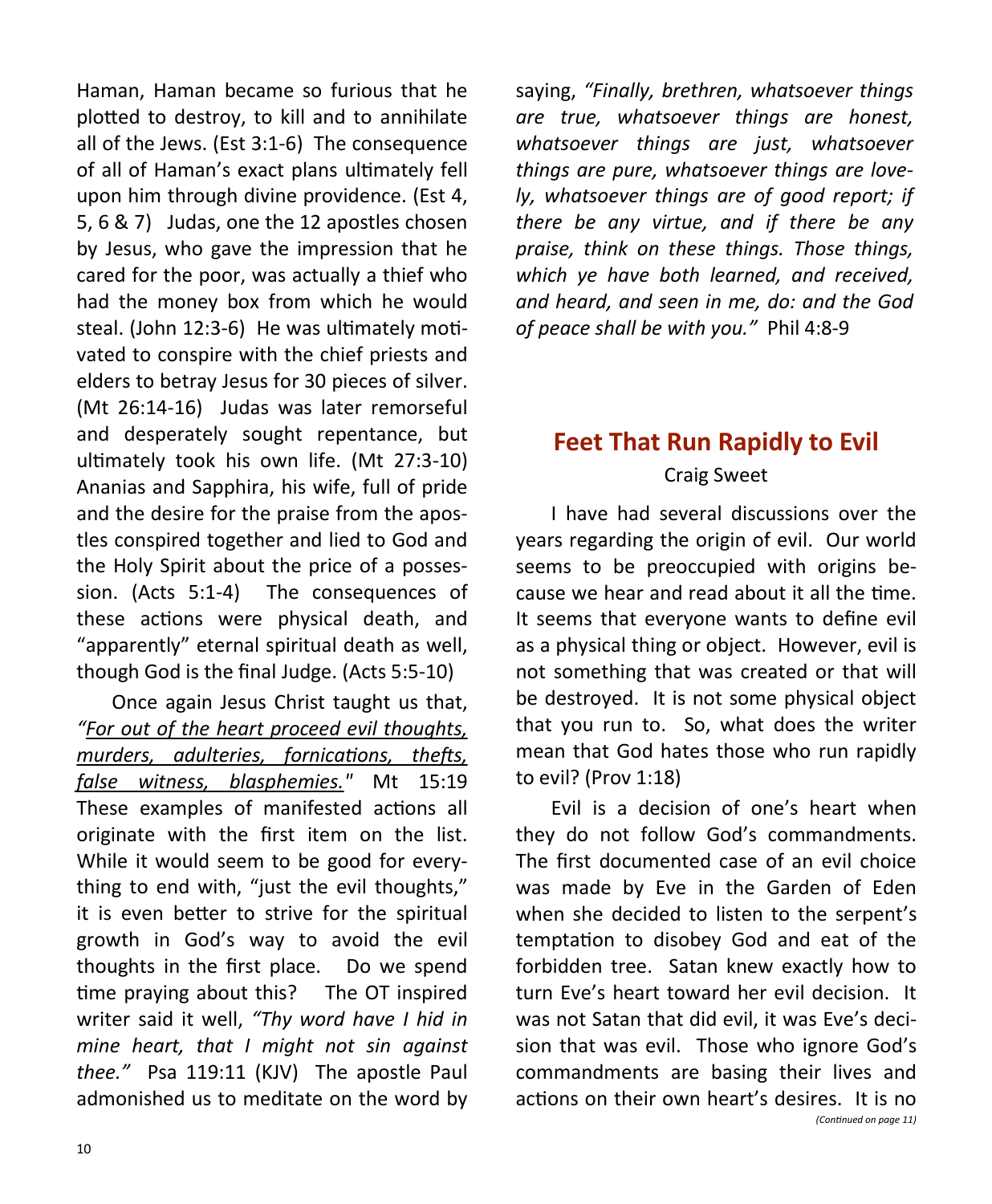Haman, Haman became so furious that he plotted to destroy, to kill and to annihilate all of the Jews. (Est 3:1-6) The consequence of all of Haman's exact plans ultimately fell upon him through divine providence. (Est 4, 5, 6 & 7) Judas, one the 12 apostles chosen by Jesus, who gave the impression that he cared for the poor, was actually a thief who had the money box from which he would steal. (John 12:3-6) He was ultimately motivated to conspire with the chief priests and elders to betray Jesus for 30 pieces of silver. (Mt 26:14-16) Judas was later remorseful and desperately sought repentance, but ultimately took his own life. (Mt 27:3-10) Ananias and Sapphira, his wife, full of pride and the desire for the praise from the apostles conspired together and lied to God and the Holy Spirit about the price of a possession. (Acts 5:1-4) The consequences of these actions were physical death, and "apparently" eternal spiritual death as well, though God is the final Judge. (Acts 5:5-10)

Once again Jesus Christ taught us that, *"For out of the heart proceed evil thoughts, murders, adulteries, fornications, thefts, false witness, blasphemies."* Mt 15:19 These examples of manifested actions all originate with the first item on the list. While it would seem to be good for everything to end with, "just the evil thoughts," it is even better to strive for the spiritual growth in God's way to avoid the evil thoughts in the first place. Do we spend time praying about this? The OT inspired writer said it well, *"Thy word have I hid in mine heart, that I might not sin against thee."* Psa 119:11 (KJV) The apostle Paul admonished us to meditate on the word by saying, *"Finally, brethren, whatsoever things are true, whatsoever things are honest, whatsoever things are just, whatsoever things are pure, whatsoever things are lovely, whatsoever things are of good report; if there be any virtue, and if there be any praise, think on these things. Those things, which ye have both learned, and received, and heard, and seen in me, do: and the God of peace shall be with you."* Phil 4:8-9

# **Feet That Run Rapidly to Evil**

#### Craig Sweet

I have had several discussions over the years regarding the origin of evil. Our world seems to be preoccupied with origins because we hear and read about it all the time. It seems that everyone wants to define evil as a physical thing or object. However, evil is not something that was created or that will be destroyed. It is not some physical object that you run to. So, what does the writer mean that God hates those who run rapidly to evil? (Prov 1:18)

Evil is a decision of one's heart when they do not follow God's commandments. The first documented case of an evil choice was made by Eve in the Garden of Eden when she decided to listen to the serpent's temptation to disobey God and eat of the forbidden tree. Satan knew exactly how to turn Eve's heart toward her evil decision. It was not Satan that did evil, it was Eve's decision that was evil. Those who ignore God's commandments are basing their lives and actions on their own heart's desires. It is no *(Continued on page 11)*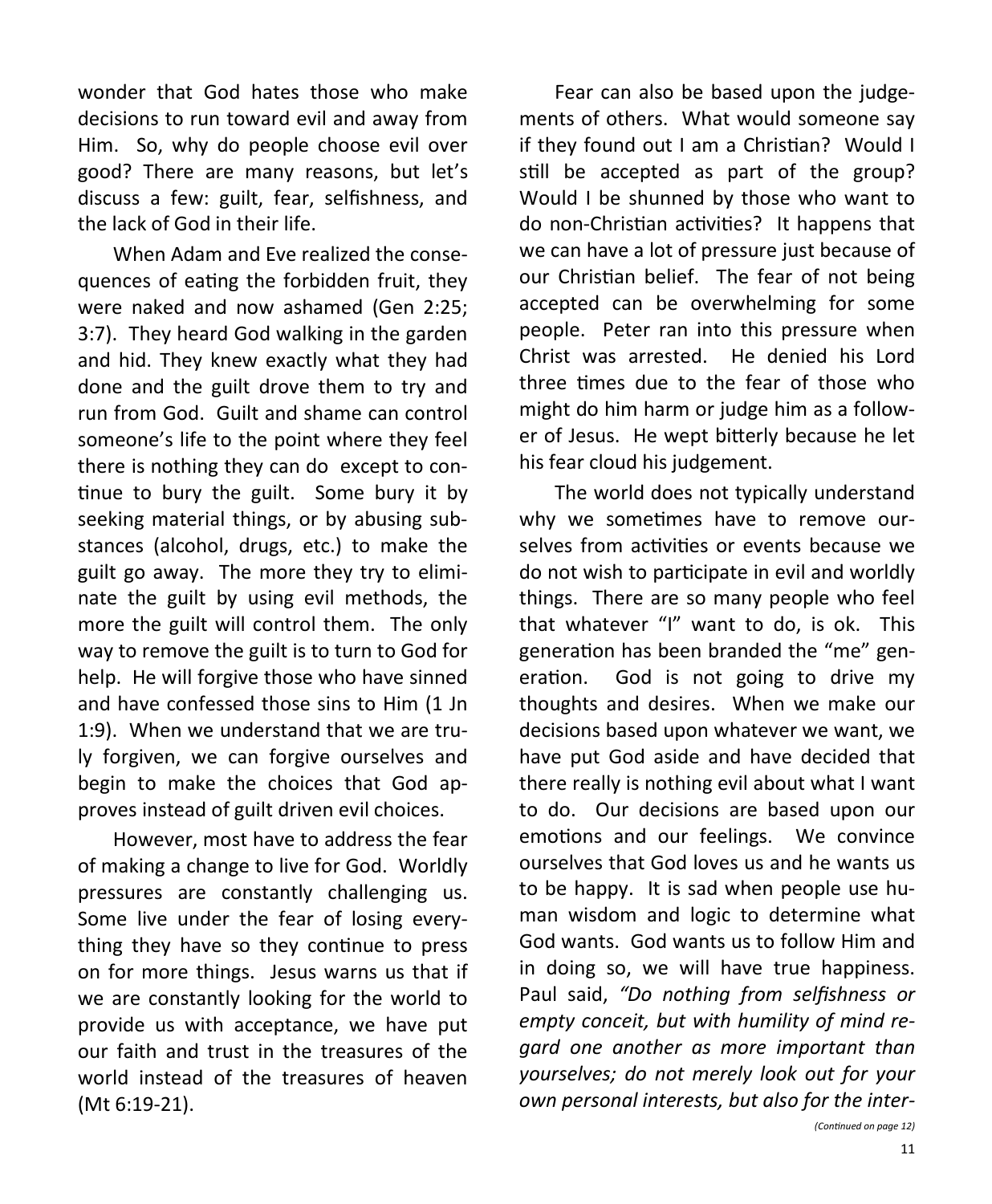wonder that God hates those who make decisions to run toward evil and away from Him. So, why do people choose evil over good? There are many reasons, but let's discuss a few: guilt, fear, selfishness, and the lack of God in their life.

When Adam and Eve realized the consequences of eating the forbidden fruit, they were naked and now ashamed (Gen 2:25; 3:7). They heard God walking in the garden and hid. They knew exactly what they had done and the guilt drove them to try and run from God. Guilt and shame can control someone's life to the point where they feel there is nothing they can do except to continue to bury the guilt. Some bury it by seeking material things, or by abusing substances (alcohol, drugs, etc.) to make the guilt go away. The more they try to eliminate the guilt by using evil methods, the more the guilt will control them. The only way to remove the guilt is to turn to God for help. He will forgive those who have sinned and have confessed those sins to Him (1 Jn 1:9). When we understand that we are truly forgiven, we can forgive ourselves and begin to make the choices that God approves instead of guilt driven evil choices.

However, most have to address the fear of making a change to live for God. Worldly pressures are constantly challenging us. Some live under the fear of losing everything they have so they continue to press on for more things. Jesus warns us that if we are constantly looking for the world to provide us with acceptance, we have put our faith and trust in the treasures of the world instead of the treasures of heaven (Mt 6:19-21).

Fear can also be based upon the judgements of others. What would someone say if they found out I am a Christian? Would I still be accepted as part of the group? Would I be shunned by those who want to do non-Christian activities? It happens that we can have a lot of pressure just because of our Christian belief. The fear of not being accepted can be overwhelming for some people. Peter ran into this pressure when Christ was arrested. He denied his Lord three times due to the fear of those who might do him harm or judge him as a follower of Jesus. He wept bitterly because he let his fear cloud his judgement.

The world does not typically understand why we sometimes have to remove ourselves from activities or events because we do not wish to participate in evil and worldly things. There are so many people who feel that whatever "I" want to do, is ok. This generation has been branded the "me" generation. God is not going to drive my thoughts and desires. When we make our decisions based upon whatever we want, we have put God aside and have decided that there really is nothing evil about what I want to do. Our decisions are based upon our emotions and our feelings. We convince ourselves that God loves us and he wants us to be happy. It is sad when people use human wisdom and logic to determine what God wants. God wants us to follow Him and in doing so, we will have true happiness. Paul said, *"Do nothing from selfishness or empty conceit, but with humility of mind regard one another as more important than yourselves; do not merely look out for your own personal interests, but also for the inter-*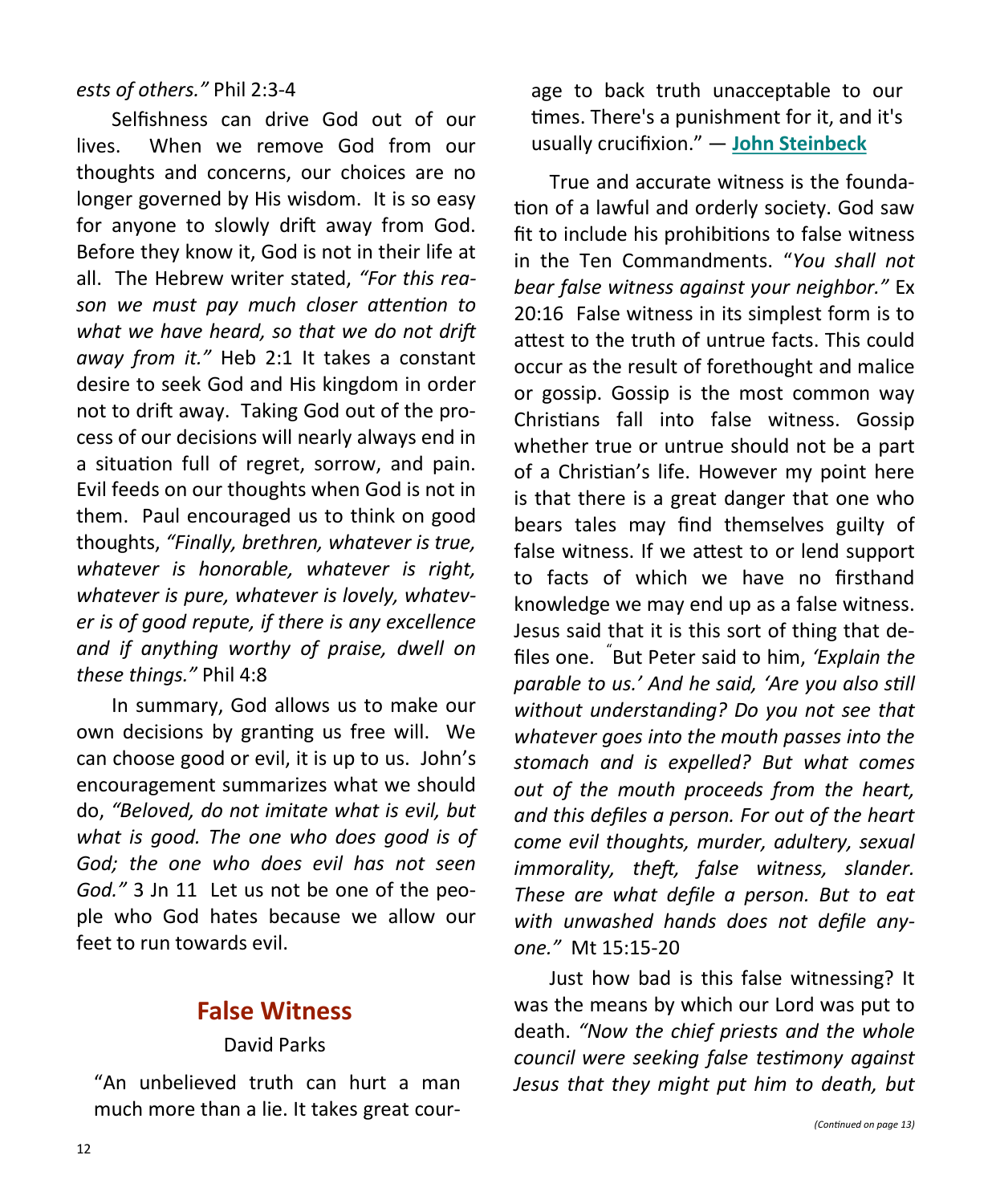#### *ests of others."* Phil 2:3-4

Selfishness can drive God out of our lives. When we remove God from our thoughts and concerns, our choices are no longer governed by His wisdom. It is so easy for anyone to slowly drift away from God. Before they know it, God is not in their life at all. The Hebrew writer stated, *"For this reason we must pay much closer attention to what we have heard, so that we do not drift away from it."* Heb 2:1 It takes a constant desire to seek God and His kingdom in order not to drift away. Taking God out of the process of our decisions will nearly always end in a situation full of regret, sorrow, and pain. Evil feeds on our thoughts when God is not in them. Paul encouraged us to think on good thoughts, *"Finally, brethren, whatever is true, whatever is honorable, whatever is right, whatever is pure, whatever is lovely, whatever is of good repute, if there is any excellence and if anything worthy of praise, dwell on these things."* Phil 4:8

In summary, God allows us to make our own decisions by granting us free will. We can choose good or evil, it is up to us. John's encouragement summarizes what we should do, *"Beloved, do not imitate what is evil, but what is good. The one who does good is of God; the one who does evil has not seen God."* 3 Jn 11 Let us not be one of the people who God hates because we allow our feet to run towards evil.

## **False Witness**

#### David Parks

"An unbelieved truth can hurt a man much more than a lie. It takes great courage to back truth unacceptable to our times. There's a punishment for it, and it's usually crucifixion." ― **[John Steinbeck](http://www.goodreads.com/author/show/585.John_Steinbeck)**

True and accurate witness is the foundation of a lawful and orderly society. God saw fit to include his prohibitions to false witness in the Ten Commandments. "*You shall not bear false witness against your neighbor."* Ex 20:16 False witness in its simplest form is to attest to the truth of untrue facts. This could occur as the result of forethought and malice or gossip. Gossip is the most common way Christians fall into false witness. Gossip whether true or untrue should not be a part of a Christian's life. However my point here is that there is a great danger that one who bears tales may find themselves guilty of false witness. If we attest to or lend support to facts of which we have no firsthand knowledge we may end up as a false witness. Jesus said that it is this sort of thing that defiles one. " But Peter said to him, *'Explain the parable to us.' And he said, 'Are you also still without understanding? Do you not see that whatever goes into the mouth passes into the stomach and is expelled? But what comes out of the mouth proceeds from the heart, and this defiles a person. For out of the heart come evil thoughts, murder, adultery, sexual immorality, theft, false witness, slander. These are what defile a person. But to eat with unwashed hands does not defile anyone."* Mt 15:15-20

Just how bad is this false witnessing? It was the means by which our Lord was put to death. *"Now the chief priests and the whole council were seeking false testimony against Jesus that they might put him to death, but*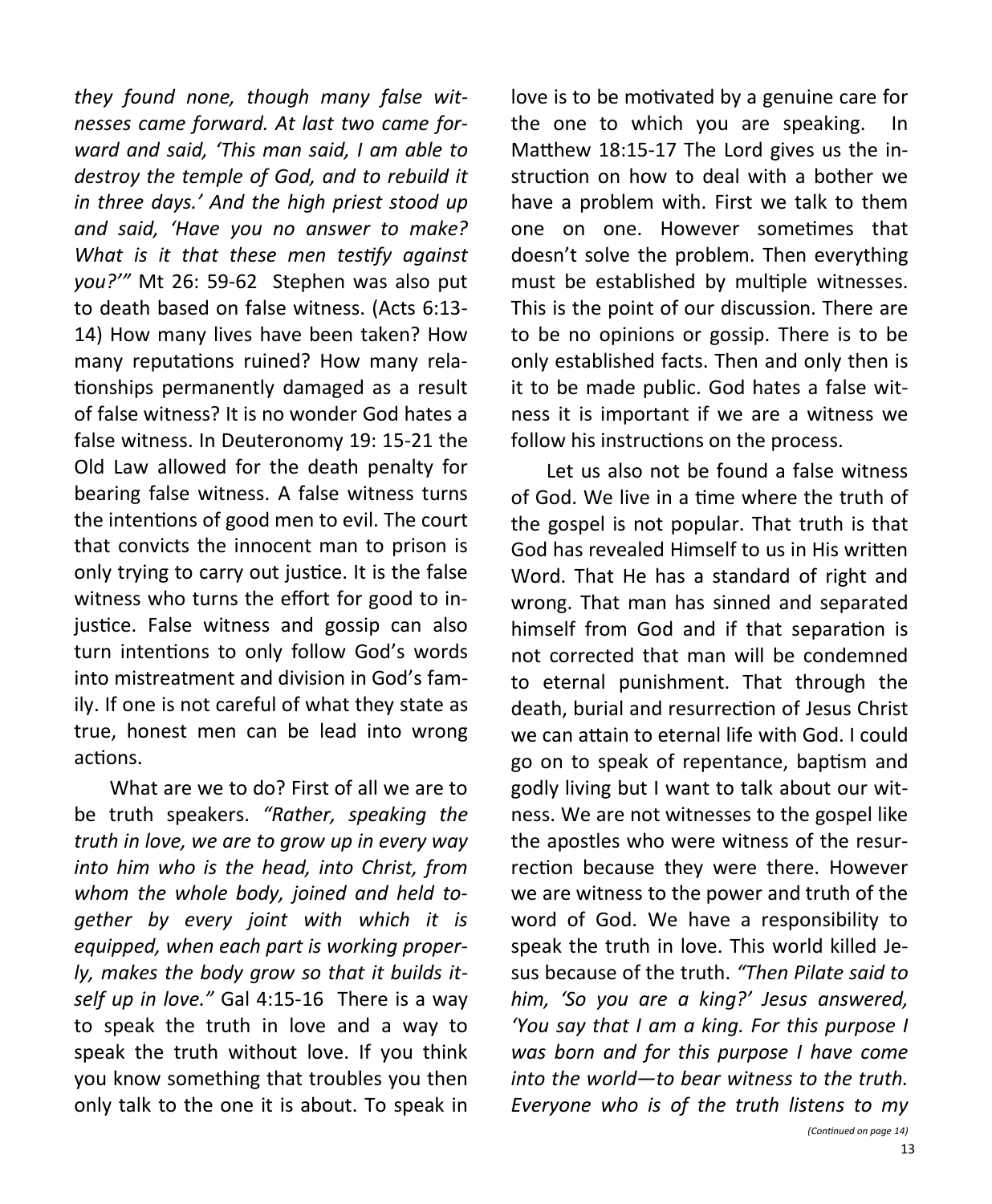*they found none, though many false witnesses came forward. At last two came forward and said, 'This man said, I am able to destroy the temple of God, and to rebuild it in three days.' And the high priest stood up and said, 'Have you no answer to make? What is it that these men testify against you?'"* Mt 26: 59-62 Stephen was also put to death based on false witness. (Acts 6:13- 14) How many lives have been taken? How many reputations ruined? How many relationships permanently damaged as a result of false witness? It is no wonder God hates a false witness. In Deuteronomy 19: 15-21 the Old Law allowed for the death penalty for bearing false witness. A false witness turns the intentions of good men to evil. The court that convicts the innocent man to prison is only trying to carry out justice. It is the false witness who turns the effort for good to injustice. False witness and gossip can also turn intentions to only follow God's words into mistreatment and division in God's family. If one is not careful of what they state as true, honest men can be lead into wrong actions.

What are we to do? First of all we are to be truth speakers. *"Rather, speaking the truth in love, we are to grow up in every way into him who is the head, into Christ, from whom the whole body, joined and held together by every joint with which it is equipped, when each part is working properly, makes the body grow so that it builds itself up in love."* Gal 4:15-16 There is a way to speak the truth in love and a way to speak the truth without love. If you think you know something that troubles you then only talk to the one it is about. To speak in

love is to be motivated by a genuine care for the one to which you are speaking. In Matthew 18:15-17 The Lord gives us the instruction on how to deal with a bother we have a problem with. First we talk to them one on one. However sometimes that doesn't solve the problem. Then everything must be established by multiple witnesses. This is the point of our discussion. There are to be no opinions or gossip. There is to be only established facts. Then and only then is it to be made public. God hates a false witness it is important if we are a witness we follow his instructions on the process.

Let us also not be found a false witness of God. We live in a time where the truth of the gospel is not popular. That truth is that God has revealed Himself to us in His written Word. That He has a standard of right and wrong. That man has sinned and separated himself from God and if that separation is not corrected that man will be condemned to eternal punishment. That through the death, burial and resurrection of Jesus Christ we can attain to eternal life with God. I could go on to speak of repentance, baptism and godly living but I want to talk about our witness. We are not witnesses to the gospel like the apostles who were witness of the resurrection because they were there. However we are witness to the power and truth of the word of God. We have a responsibility to speak the truth in love. This world killed Jesus because of the truth. *"Then Pilate said to him, 'So you are a king?' Jesus answered, 'You say that I am a king. For this purpose I was born and for this purpose I have come into the world—to bear witness to the truth. Everyone who is of the truth listens to my*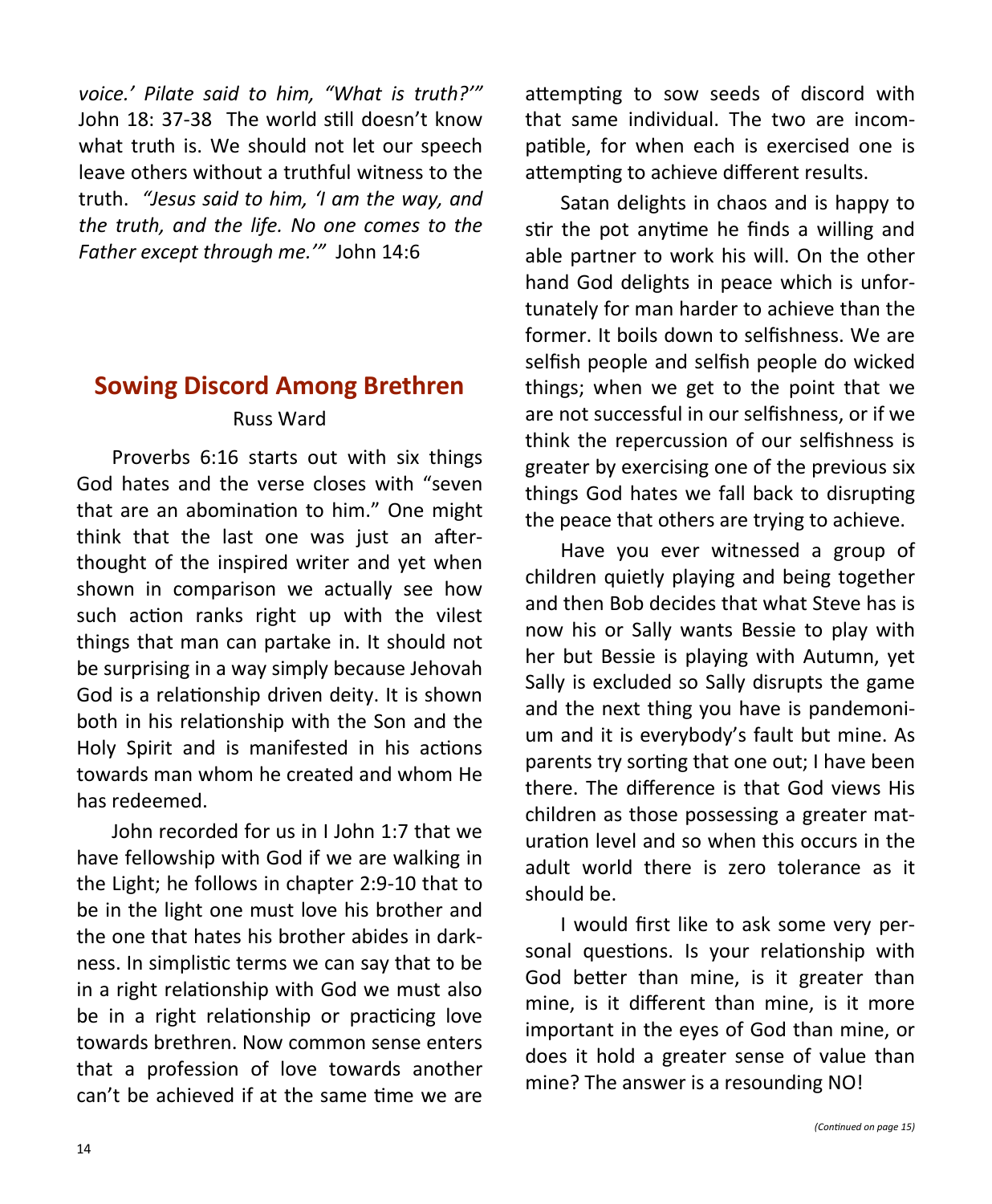*voice.' Pilate said to him, "What is truth?'"*  John 18: 37-38 The world still doesn't know what truth is. We should not let our speech leave others without a truthful witness to the truth. *"Jesus said to him, 'I am the way, and the truth, and the life. No one comes to the Father except through me.'"* John 14:6

# **Sowing Discord Among Brethren** Russ Ward

Proverbs 6:16 starts out with six things God hates and the verse closes with "seven that are an abomination to him." One might think that the last one was just an afterthought of the inspired writer and yet when shown in comparison we actually see how such action ranks right up with the vilest things that man can partake in. It should not be surprising in a way simply because Jehovah God is a relationship driven deity. It is shown both in his relationship with the Son and the Holy Spirit and is manifested in his actions towards man whom he created and whom He has redeemed.

John recorded for us in I John 1:7 that we have fellowship with God if we are walking in the Light; he follows in chapter 2:9-10 that to be in the light one must love his brother and the one that hates his brother abides in darkness. In simplistic terms we can say that to be in a right relationship with God we must also be in a right relationship or practicing love towards brethren. Now common sense enters that a profession of love towards another can't be achieved if at the same time we are attempting to sow seeds of discord with that same individual. The two are incompatible, for when each is exercised one is attempting to achieve different results.

Satan delights in chaos and is happy to stir the pot anytime he finds a willing and able partner to work his will. On the other hand God delights in peace which is unfortunately for man harder to achieve than the former. It boils down to selfishness. We are selfish people and selfish people do wicked things; when we get to the point that we are not successful in our selfishness, or if we think the repercussion of our selfishness is greater by exercising one of the previous six things God hates we fall back to disrupting the peace that others are trying to achieve.

Have you ever witnessed a group of children quietly playing and being together and then Bob decides that what Steve has is now his or Sally wants Bessie to play with her but Bessie is playing with Autumn, yet Sally is excluded so Sally disrupts the game and the next thing you have is pandemonium and it is everybody's fault but mine. As parents try sorting that one out; I have been there. The difference is that God views His children as those possessing a greater maturation level and so when this occurs in the adult world there is zero tolerance as it should be.

I would first like to ask some very personal questions. Is your relationship with God better than mine, is it greater than mine, is it different than mine, is it more important in the eyes of God than mine, or does it hold a greater sense of value than mine? The answer is a resounding NO!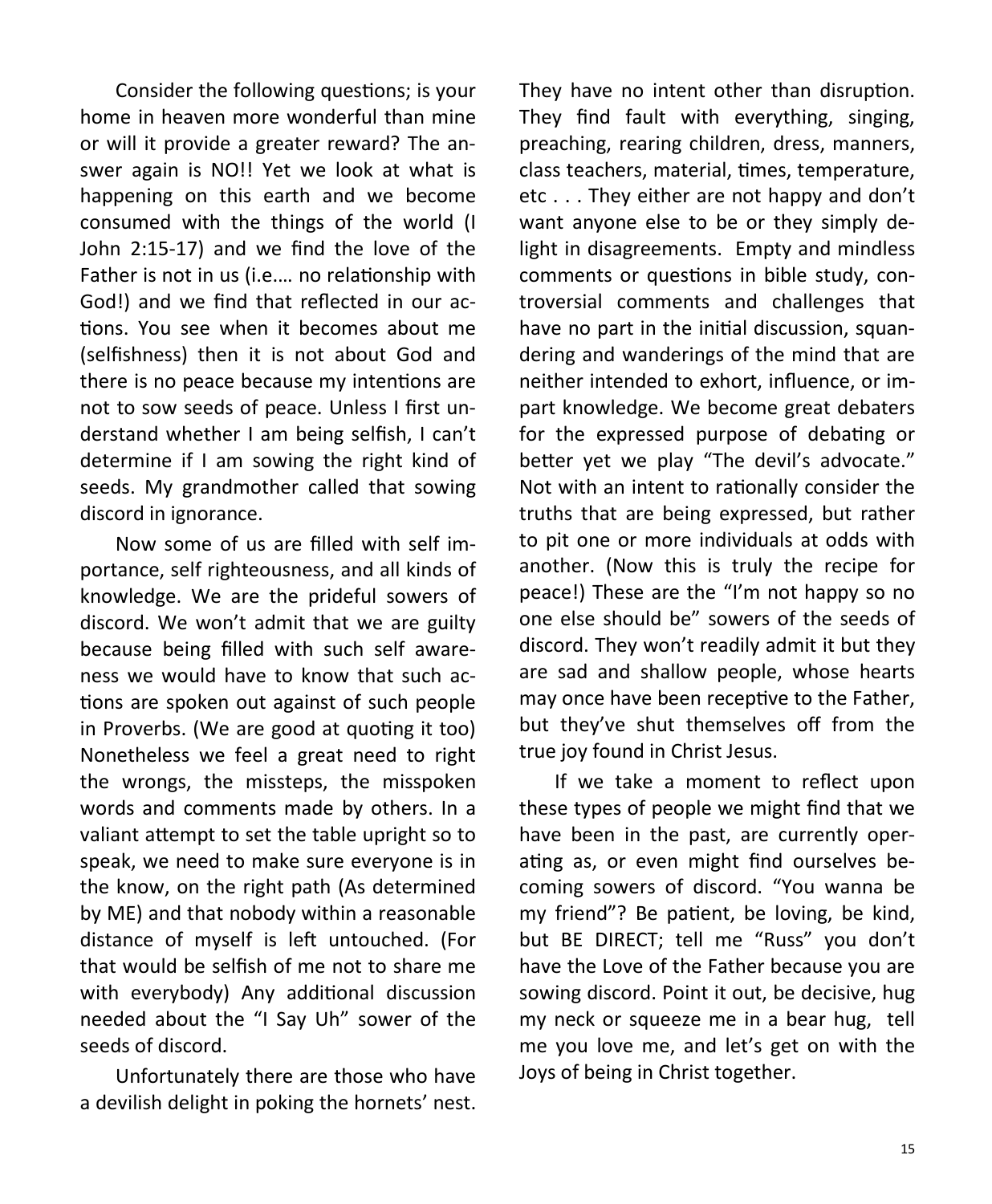Consider the following questions; is your home in heaven more wonderful than mine or will it provide a greater reward? The answer again is NO!! Yet we look at what is happening on this earth and we become consumed with the things of the world (I John 2:15-17) and we find the love of the Father is not in us (i.e.… no relationship with God!) and we find that reflected in our actions. You see when it becomes about me (selfishness) then it is not about God and there is no peace because my intentions are not to sow seeds of peace. Unless I first understand whether I am being selfish, I can't determine if I am sowing the right kind of seeds. My grandmother called that sowing discord in ignorance.

Now some of us are filled with self importance, self righteousness, and all kinds of knowledge. We are the prideful sowers of discord. We won't admit that we are guilty because being filled with such self awareness we would have to know that such actions are spoken out against of such people in Proverbs. (We are good at quoting it too) Nonetheless we feel a great need to right the wrongs, the missteps, the misspoken words and comments made by others. In a valiant attempt to set the table upright so to speak, we need to make sure everyone is in the know, on the right path (As determined by ME) and that nobody within a reasonable distance of myself is left untouched. (For that would be selfish of me not to share me with everybody) Any additional discussion needed about the "I Say Uh" sower of the seeds of discord.

Unfortunately there are those who have a devilish delight in poking the hornets' nest.

They have no intent other than disruption. They find fault with everything, singing, preaching, rearing children, dress, manners, class teachers, material, times, temperature, etc . . . They either are not happy and don't want anyone else to be or they simply delight in disagreements. Empty and mindless comments or questions in bible study, controversial comments and challenges that have no part in the initial discussion, squandering and wanderings of the mind that are neither intended to exhort, influence, or impart knowledge. We become great debaters for the expressed purpose of debating or better yet we play "The devil's advocate." Not with an intent to rationally consider the truths that are being expressed, but rather to pit one or more individuals at odds with another. (Now this is truly the recipe for peace!) These are the "I'm not happy so no one else should be" sowers of the seeds of discord. They won't readily admit it but they are sad and shallow people, whose hearts may once have been receptive to the Father, but they've shut themselves off from the true joy found in Christ Jesus.

If we take a moment to reflect upon these types of people we might find that we have been in the past, are currently operating as, or even might find ourselves becoming sowers of discord. "You wanna be my friend"? Be patient, be loving, be kind, but BE DIRECT; tell me "Russ" you don't have the Love of the Father because you are sowing discord. Point it out, be decisive, hug my neck or squeeze me in a bear hug, tell me you love me, and let's get on with the Joys of being in Christ together.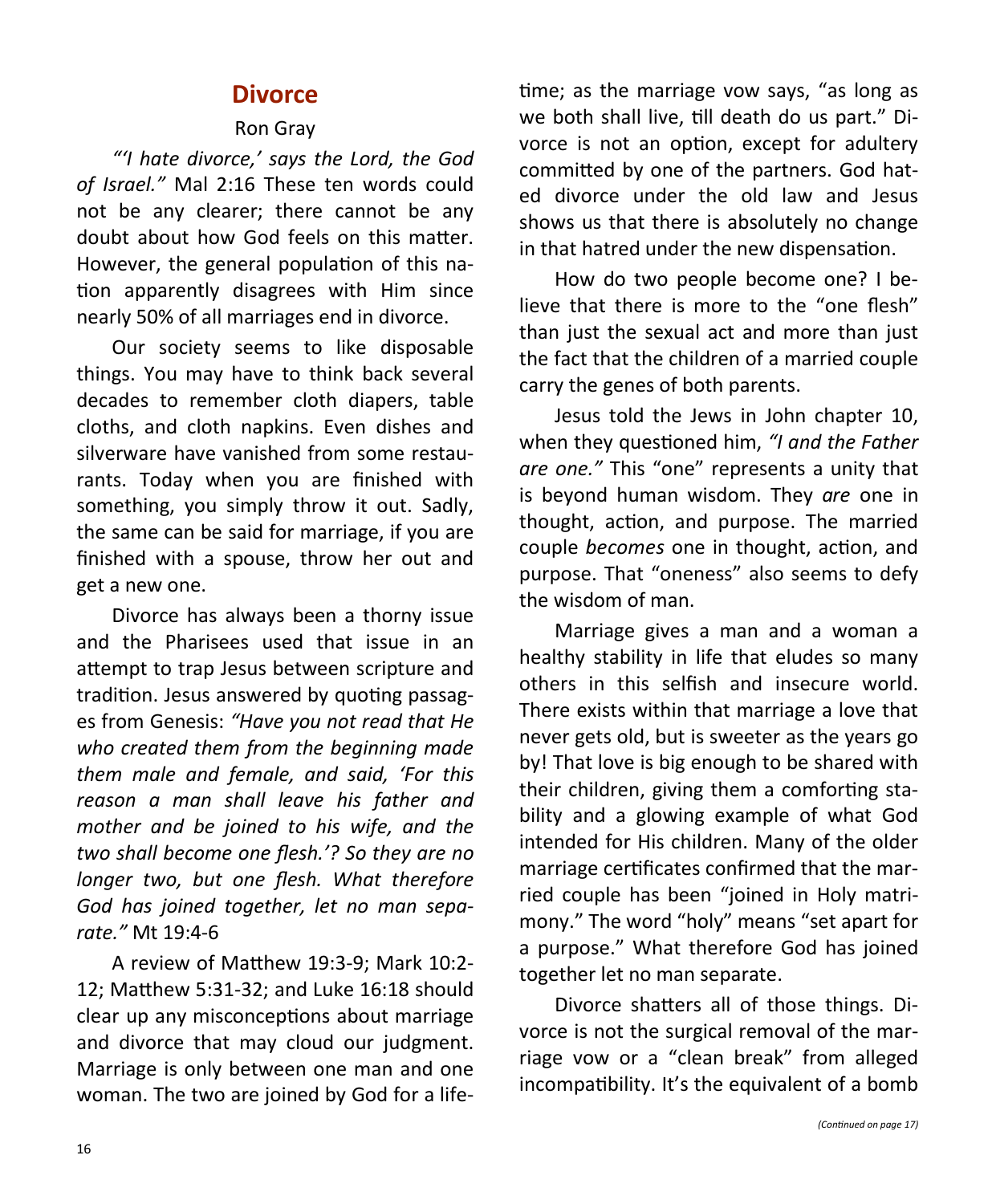## **Divorce**

#### Ron Gray

*"'I hate divorce,' says the Lord, the God of Israel."* Mal 2:16 These ten words could not be any clearer; there cannot be any doubt about how God feels on this matter. However, the general population of this nation apparently disagrees with Him since nearly 50% of all marriages end in divorce.

Our society seems to like disposable things. You may have to think back several decades to remember cloth diapers, table cloths, and cloth napkins. Even dishes and silverware have vanished from some restaurants. Today when you are finished with something, you simply throw it out. Sadly, the same can be said for marriage, if you are finished with a spouse, throw her out and get a new one.

Divorce has always been a thorny issue and the Pharisees used that issue in an attempt to trap Jesus between scripture and tradition. Jesus answered by quoting passages from Genesis: *"Have you not read that He who created them from the beginning made them male and female, and said, 'For this reason a man shall leave his father and mother and be joined to his wife, and the two shall become one flesh.'? So they are no longer two, but one flesh. What therefore God has joined together, let no man separate."* Mt 19:4-6

A review of Matthew 19:3-9; Mark 10:2- 12; Matthew 5:31-32; and Luke 16:18 should clear up any misconceptions about marriage and divorce that may cloud our judgment. Marriage is only between one man and one woman. The two are joined by God for a life-

time; as the marriage vow says, "as long as we both shall live, till death do us part." Divorce is not an option, except for adultery committed by one of the partners. God hated divorce under the old law and Jesus shows us that there is absolutely no change in that hatred under the new dispensation.

How do two people become one? I believe that there is more to the "one flesh" than just the sexual act and more than just the fact that the children of a married couple carry the genes of both parents.

Jesus told the Jews in John chapter 10, when they questioned him, *"I and the Father are one."* This "one" represents a unity that is beyond human wisdom. They *are* one in thought, action, and purpose. The married couple *becomes* one in thought, action, and purpose. That "oneness" also seems to defy the wisdom of man.

Marriage gives a man and a woman a healthy stability in life that eludes so many others in this selfish and insecure world. There exists within that marriage a love that never gets old, but is sweeter as the years go by! That love is big enough to be shared with their children, giving them a comforting stability and a glowing example of what God intended for His children. Many of the older marriage certificates confirmed that the married couple has been "joined in Holy matrimony." The word "holy" means "set apart for a purpose." What therefore God has joined together let no man separate.

Divorce shatters all of those things. Divorce is not the surgical removal of the marriage vow or a "clean break" from alleged incompatibility. It's the equivalent of a bomb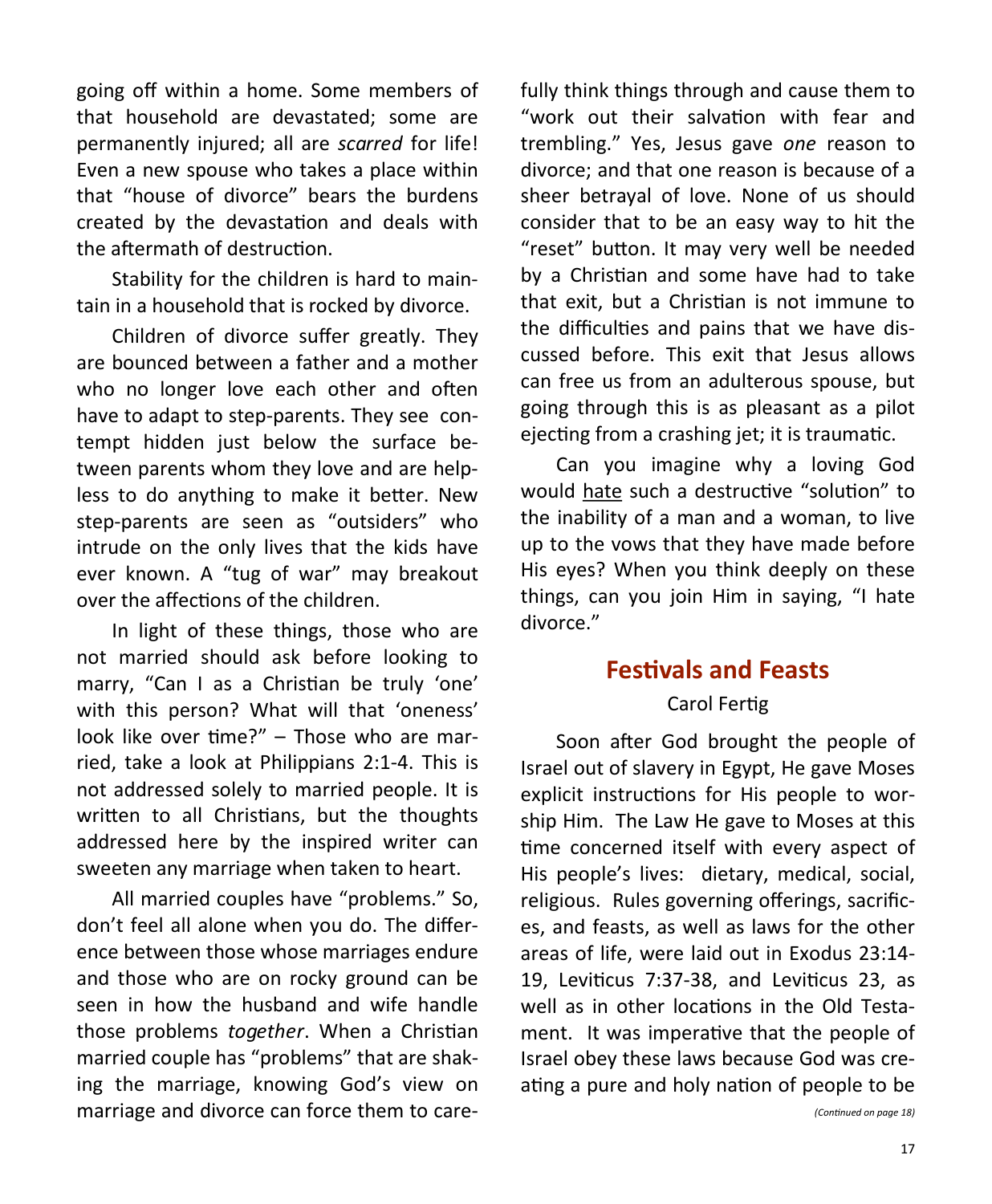going off within a home. Some members of that household are devastated; some are permanently injured; all are *scarred* for life! Even a new spouse who takes a place within that "house of divorce" bears the burdens created by the devastation and deals with the aftermath of destruction.

Stability for the children is hard to maintain in a household that is rocked by divorce.

Children of divorce suffer greatly. They are bounced between a father and a mother who no longer love each other and often have to adapt to step-parents. They see contempt hidden just below the surface between parents whom they love and are helpless to do anything to make it better. New step-parents are seen as "outsiders" who intrude on the only lives that the kids have ever known. A "tug of war" may breakout over the affections of the children.

In light of these things, those who are not married should ask before looking to marry, "Can I as a Christian be truly 'one' with this person? What will that 'oneness' look like over time?" – Those who are married, take a look at Philippians 2:1-4. This is not addressed solely to married people. It is written to all Christians, but the thoughts addressed here by the inspired writer can sweeten any marriage when taken to heart.

All married couples have "problems." So, don't feel all alone when you do. The difference between those whose marriages endure and those who are on rocky ground can be seen in how the husband and wife handle those problems *together*. When a Christian married couple has "problems" that are shaking the marriage, knowing God's view on marriage and divorce can force them to care-

fully think things through and cause them to "work out their salvation with fear and trembling." Yes, Jesus gave *one* reason to divorce; and that one reason is because of a sheer betrayal of love. None of us should consider that to be an easy way to hit the "reset" button. It may very well be needed by a Christian and some have had to take that exit, but a Christian is not immune to the difficulties and pains that we have discussed before. This exit that Jesus allows can free us from an adulterous spouse, but going through this is as pleasant as a pilot ejecting from a crashing jet; it is traumatic.

Can you imagine why a loving God would hate such a destructive "solution" to the inability of a man and a woman, to live up to the vows that they have made before His eyes? When you think deeply on these things, can you join Him in saying, "I hate divorce."

# **Festivals and Feasts**

### Carol Fertig

Soon after God brought the people of Israel out of slavery in Egypt, He gave Moses explicit instructions for His people to worship Him. The Law He gave to Moses at this time concerned itself with every aspect of His people's lives: dietary, medical, social, religious. Rules governing offerings, sacrifices, and feasts, as well as laws for the other areas of life, were laid out in Exodus 23:14- 19, Leviticus 7:37-38, and Leviticus 23, as well as in other locations in the Old Testament. It was imperative that the people of Israel obey these laws because God was creating a pure and holy nation of people to be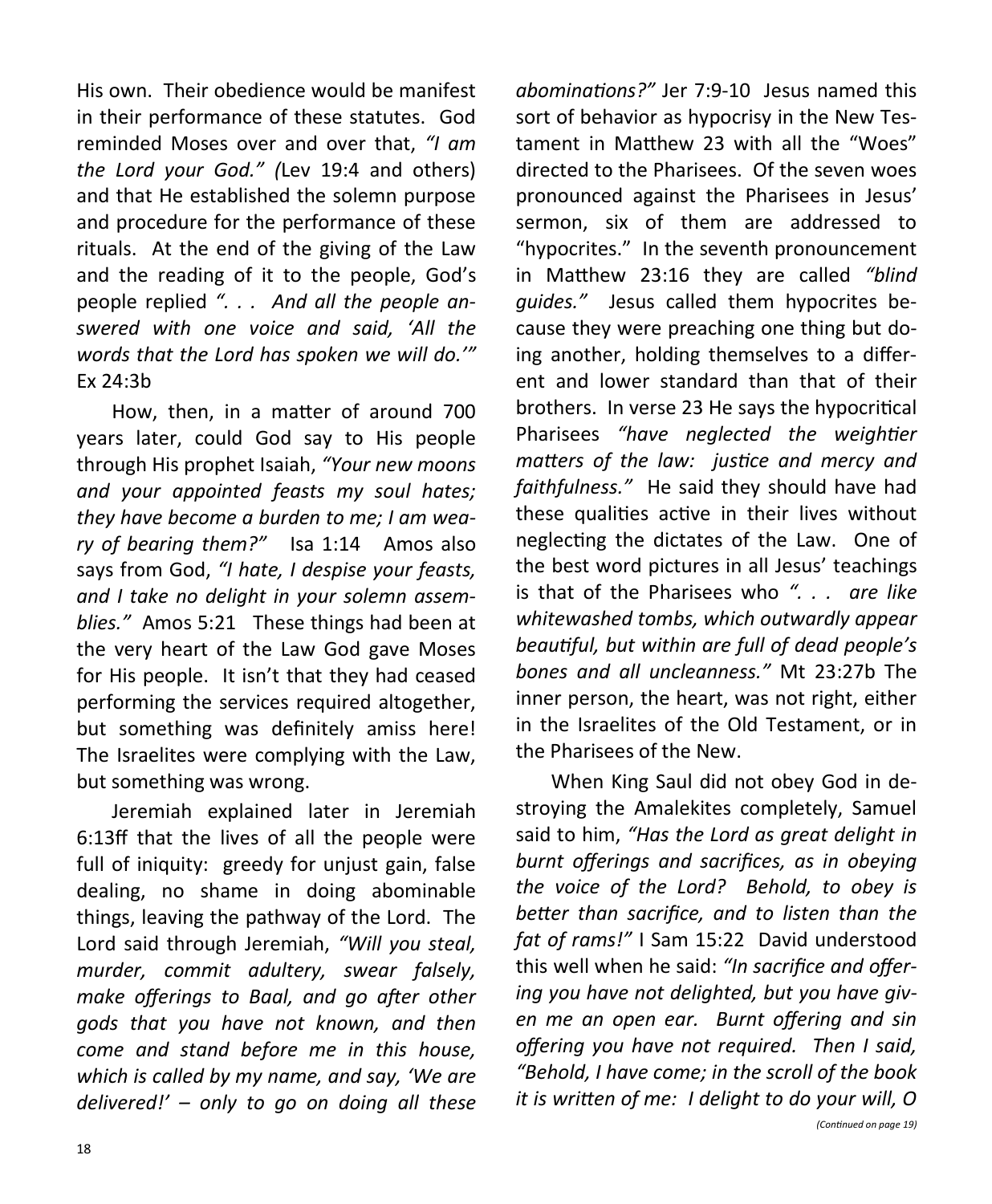His own. Their obedience would be manifest in their performance of these statutes. God reminded Moses over and over that, *"I am the Lord your God." (*Lev 19:4 and others) and that He established the solemn purpose and procedure for the performance of these rituals. At the end of the giving of the Law and the reading of it to the people, God's people replied *". . . And all the people answered with one voice and said, 'All the words that the Lord has spoken we will do.'"*  Ex 24:3b

How, then, in a matter of around 700 years later, could God say to His people through His prophet Isaiah, *"Your new moons and your appointed feasts my soul hates; they have become a burden to me; I am weary of bearing them?"* Isa 1:14 Amos also says from God, *"I hate, I despise your feasts, and I take no delight in your solemn assemblies."* Amos 5:21 These things had been at the very heart of the Law God gave Moses for His people. It isn't that they had ceased performing the services required altogether, but something was definitely amiss here! The Israelites were complying with the Law, but something was wrong.

Jeremiah explained later in Jeremiah 6:13ff that the lives of all the people were full of iniquity: greedy for unjust gain, false dealing, no shame in doing abominable things, leaving the pathway of the Lord. The Lord said through Jeremiah, *"Will you steal, murder, commit adultery, swear falsely, make offerings to Baal, and go after other gods that you have not known, and then come and stand before me in this house, which is called by my name, and say, 'We are delivered!' – only to go on doing all these* 

*abominations?"* Jer 7:9-10 Jesus named this sort of behavior as hypocrisy in the New Testament in Matthew 23 with all the "Woes" directed to the Pharisees. Of the seven woes pronounced against the Pharisees in Jesus' sermon, six of them are addressed to "hypocrites." In the seventh pronouncement in Matthew 23:16 they are called *"blind guides."* Jesus called them hypocrites because they were preaching one thing but doing another, holding themselves to a different and lower standard than that of their brothers. In verse 23 He says the hypocritical Pharisees *"have neglected the weightier matters of the law: justice and mercy and faithfulness."* He said they should have had these qualities active in their lives without neglecting the dictates of the Law. One of the best word pictures in all Jesus' teachings is that of the Pharisees who *". . . are like whitewashed tombs, which outwardly appear beautiful, but within are full of dead people's bones and all uncleanness."* Mt 23:27b The inner person, the heart, was not right, either in the Israelites of the Old Testament, or in the Pharisees of the New.

When King Saul did not obey God in destroying the Amalekites completely, Samuel said to him, *"Has the Lord as great delight in burnt offerings and sacrifices, as in obeying the voice of the Lord? Behold, to obey is better than sacrifice, and to listen than the fat of rams!"* I Sam 15:22 David understood this well when he said: *"In sacrifice and offering you have not delighted, but you have given me an open ear. Burnt offering and sin offering you have not required. Then I said, "Behold, I have come; in the scroll of the book it is written of me: I delight to do your will, O*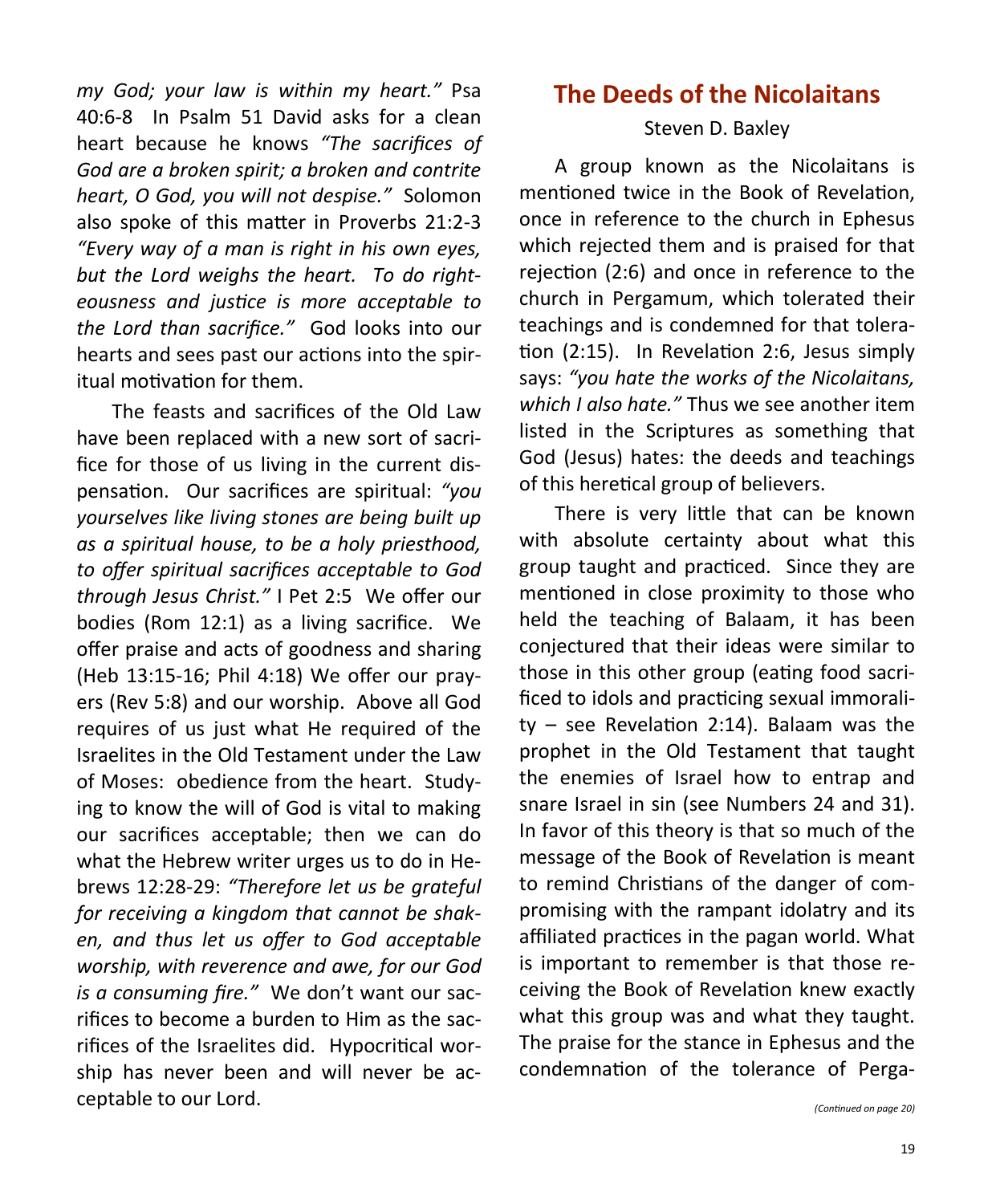*my God; your law is within my heart."* Psa 40:6-8 In Psalm 51 David asks for a clean heart because he knows *"The sacrifices of God are a broken spirit; a broken and contrite heart, O God, you will not despise."* Solomon also spoke of this matter in Proverbs 21:2-3 *"Every way of a man is right in his own eyes, but the Lord weighs the heart. To do righteousness and justice is more acceptable to the Lord than sacrifice."* God looks into our hearts and sees past our actions into the spiritual motivation for them.

The feasts and sacrifices of the Old Law have been replaced with a new sort of sacrifice for those of us living in the current dispensation. Our sacrifices are spiritual: *"you yourselves like living stones are being built up as a spiritual house, to be a holy priesthood, to offer spiritual sacrifices acceptable to God through Jesus Christ."* I Pet 2:5 We offer our bodies (Rom 12:1) as a living sacrifice. We offer praise and acts of goodness and sharing (Heb 13:15-16; Phil 4:18) We offer our prayers (Rev 5:8) and our worship. Above all God requires of us just what He required of the Israelites in the Old Testament under the Law of Moses: obedience from the heart. Studying to know the will of God is vital to making our sacrifices acceptable; then we can do what the Hebrew writer urges us to do in Hebrews 12:28-29: *"Therefore let us be grateful for receiving a kingdom that cannot be shaken, and thus let us offer to God acceptable worship, with reverence and awe, for our God is a consuming fire."* We don't want our sacrifices to become a burden to Him as the sacrifices of the Israelites did. Hypocritical worship has never been and will never be acceptable to our Lord.

# **The Deeds of the Nicolaitans**

#### Steven D. Baxley

A group known as the Nicolaitans is mentioned twice in the Book of Revelation, once in reference to the church in Ephesus which rejected them and is praised for that rejection (2:6) and once in reference to the church in Pergamum, which tolerated their teachings and is condemned for that toleration (2:15). In Revelation 2:6, Jesus simply says: *"you hate the works of the Nicolaitans, which I also hate."* Thus we see another item listed in the Scriptures as something that God (Jesus) hates: the deeds and teachings of this heretical group of believers.

There is very little that can be known with absolute certainty about what this group taught and practiced. Since they are mentioned in close proximity to those who held the teaching of Balaam, it has been conjectured that their ideas were similar to those in this other group (eating food sacrificed to idols and practicing sexual immorality – see Revelation 2:14). Balaam was the prophet in the Old Testament that taught the enemies of Israel how to entrap and snare Israel in sin (see Numbers 24 and 31). In favor of this theory is that so much of the message of the Book of Revelation is meant to remind Christians of the danger of compromising with the rampant idolatry and its affiliated practices in the pagan world. What is important to remember is that those receiving the Book of Revelation knew exactly what this group was and what they taught. The praise for the stance in Ephesus and the condemnation of the tolerance of Perga